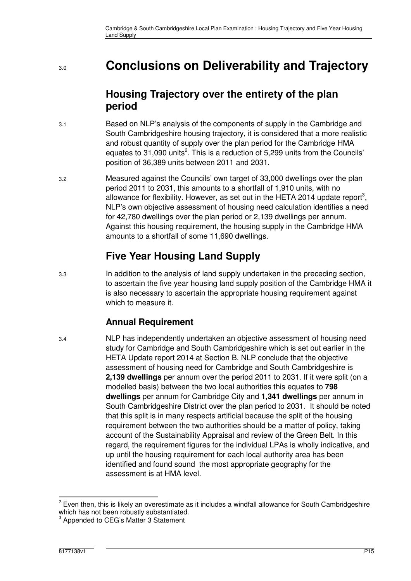# 3.0 **Conclusions on Deliverability and Trajectory**

### **Housing Trajectory over the entirety of the plan period**

- 3.1 Based on NLP's analysis of the components of supply in the Cambridge and South Cambridgeshire housing trajectory, it is considered that a more realistic and robust quantity of supply over the plan period for the Cambridge HMA equates to 31,090 units<sup>2</sup>. This is a reduction of 5,299 units from the Councils' position of 36,389 units between 2011 and 2031.
- 3.2 Measured against the Councils' own target of 33,000 dwellings over the plan period 2011 to 2031, this amounts to a shortfall of 1,910 units, with no allowance for flexibility. However, as set out in the HETA 2014 update report<sup>3</sup>, NLP's own objective assessment of housing need calculation identifies a need for 42,780 dwellings over the plan period or 2,139 dwellings per annum. Against this housing requirement, the housing supply in the Cambridge HMA amounts to a shortfall of some 11,690 dwellings.

# **Five Year Housing Land Supply**

3.3 In addition to the analysis of land supply undertaken in the preceding section, to ascertain the five year housing land supply position of the Cambridge HMA it is also necessary to ascertain the appropriate housing requirement against which to measure it.

#### **Annual Requirement**

3.4 NLP has independently undertaken an objective assessment of housing need study for Cambridge and South Cambridgeshire which is set out earlier in the HETA Update report 2014 at Section B. NLP conclude that the objective assessment of housing need for Cambridge and South Cambridgeshire is **2,139 dwellings** per annum over the period 2011 to 2031. If it were split (on a modelled basis) between the two local authorities this equates to **798 dwellings** per annum for Cambridge City and **1,341 dwellings** per annum in South Cambridgeshire District over the plan period to 2031. It should be noted that this split is in many respects artificial because the split of the housing requirement between the two authorities should be a matter of policy, taking account of the Sustainability Appraisal and review of the Green Belt. In this regard, the requirement figures for the individual LPAs is wholly indicative, and up until the housing requirement for each local authority area has been identified and found sound the most appropriate geography for the assessment is at HMA level.

j  $2$  Even then, this is likely an overestimate as it includes a windfall allowance for South Cambridgeshire which has not been robustly substantiated.

<sup>3</sup> Appended to CEG's Matter 3 Statement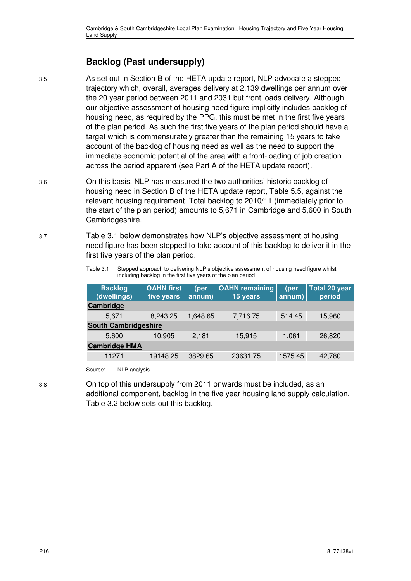#### **Backlog (Past undersupply)**

3.5 As set out in Section B of the HETA update report, NLP advocate a stepped trajectory which, overall, averages delivery at 2,139 dwellings per annum over the 20 year period between 2011 and 2031 but front loads delivery. Although our objective assessment of housing need figure implicitly includes backlog of housing need, as required by the PPG, this must be met in the first five years of the plan period. As such the first five years of the plan period should have a target which is commensurately greater than the remaining 15 years to take account of the backlog of housing need as well as the need to support the immediate economic potential of the area with a front-loading of job creation across the period apparent (see Part A of the HETA update report).

3.6 On this basis, NLP has measured the two authorities' historic backlog of housing need in Section B of the HETA update report, Table 5.5, against the relevant housing requirement. Total backlog to 2010/11 (immediately prior to the start of the plan period) amounts to 5,671 in Cambridge and 5,600 in South Cambridgeshire.

3.7 Table 3.1 below demonstrates how NLP's objective assessment of housing need figure has been stepped to take account of this backlog to deliver it in the first five years of the plan period.

> Table 3.1 Stepped approach to delivering NLP's objective assessment of housing need figure whilst including backlog in the first five years of the plan period

| <b>Backlog</b><br>(dwellings) | <b>OAHN</b> first<br>five years | (per<br>annum) | <b>OAHN</b> remaining<br>15 years | (per<br>annum) | <b>Total 20 year</b><br>period |
|-------------------------------|---------------------------------|----------------|-----------------------------------|----------------|--------------------------------|
| Cambridge                     |                                 |                |                                   |                |                                |
| 5,671                         | 8,243.25                        | 1,648.65       | 7,716.75                          | 514.45         | 15,960                         |
| <b>South Cambridgeshire</b>   |                                 |                |                                   |                |                                |
| 5,600                         | 10,905                          | 2,181          | 15,915                            | 1,061          | 26,820                         |
| <b>Cambridge HMA</b>          |                                 |                |                                   |                |                                |
| 11271                         | 19148.25                        | 3829.65        | 23631.75                          | 1575.45        | 42,780                         |

Source: NLP analysis

3.8 On top of this undersupply from 2011 onwards must be included, as an additional component, backlog in the five year housing land supply calculation. Table 3.2 below sets out this backlog.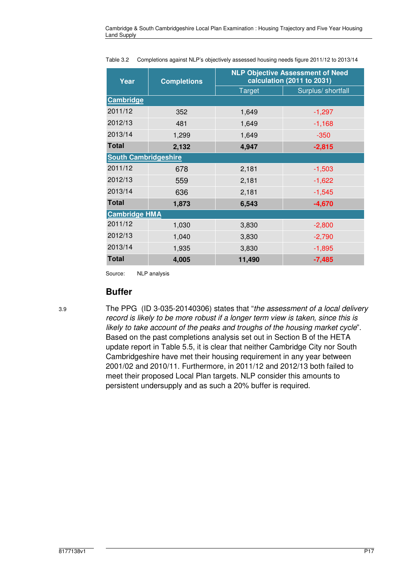| Year                        | <b>Completions</b> |               | <b>NLP Objective Assessment of Need</b><br>calculation (2011 to 2031) |
|-----------------------------|--------------------|---------------|-----------------------------------------------------------------------|
|                             |                    | <b>Target</b> | Surplus/ shortfall                                                    |
| <b>Cambridge</b>            |                    |               |                                                                       |
| 2011/12                     | 352                | 1,649         | $-1,297$                                                              |
| 2012/13                     | 481                | 1,649         | $-1,168$                                                              |
| 2013/14                     | 1,299              | 1,649         | $-350$                                                                |
| <b>Total</b>                | 2,132              | 4,947         | $-2,815$                                                              |
| <b>South Cambridgeshire</b> |                    |               |                                                                       |
| 2011/12                     | 678                | 2,181         | $-1,503$                                                              |
| 2012/13                     | 559                | 2,181         | $-1,622$                                                              |
| 2013/14                     | 636                | 2,181         | $-1,545$                                                              |
| <b>Total</b>                | 1,873              | 6,543         | $-4,670$                                                              |
| <b>Cambridge HMA</b>        |                    |               |                                                                       |
| 2011/12                     | 1,030              | 3,830         | $-2,800$                                                              |
| 2012/13                     | 1,040              | 3,830         | $-2,790$                                                              |
| 2013/14                     | 1,935              | 3,830         | $-1,895$                                                              |
| <b>Total</b>                | 4,005              | 11,490        | $-7,485$                                                              |

Table 3.2 Completions against NLP's objectively assessed housing needs figure 2011/12 to 2013/14

Source: NLP analysis

#### **Buffer**

3.9 The PPG (ID 3-035-20140306) states that "the assessment of a local delivery record is likely to be more robust if a longer term view is taken, since this is likely to take account of the peaks and troughs of the housing market cycle". Based on the past completions analysis set out in Section B of the HETA update report in Table 5.5, it is clear that neither Cambridge City nor South Cambridgeshire have met their housing requirement in any year between 2001/02 and 2010/11. Furthermore, in 2011/12 and 2012/13 both failed to meet their proposed Local Plan targets. NLP consider this amounts to persistent undersupply and as such a 20% buffer is required.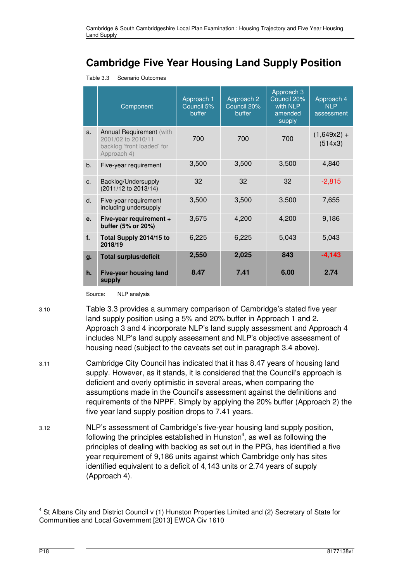# **Cambridge Five Year Housing Land Supply Position**

Table 3.3 Scenario Outcomes

|    | Component                                                                                          | Approach 1<br>Council 5%<br>buffer | Approach 2<br>Council 20%<br>buffer | Approach 3<br>Council 20%<br>with NLP<br>amended<br>supply | Approach 4<br><b>NLP</b><br>assessment |
|----|----------------------------------------------------------------------------------------------------|------------------------------------|-------------------------------------|------------------------------------------------------------|----------------------------------------|
| a. | <b>Annual Requirement (with</b><br>2001/02 to 2010/11<br>backlog 'front loaded' for<br>Approach 4) | 700                                | 700                                 | 700                                                        | $(1,649x2) +$<br>(514x3)               |
| b. | Five-year requirement                                                                              | 3,500                              | 3,500                               | 3,500                                                      | 4,840                                  |
| C. | Backlog/Undersupply<br>(2011/12 to 2013/14)                                                        | 32                                 | 32                                  | 32                                                         | $-2,815$                               |
| d. | Five-year requirement<br>including undersupply                                                     | 3,500                              | 3,500                               | 3,500                                                      | 7,655                                  |
| е. | Five-year requirement +<br>buffer (5% or 20%)                                                      | 3,675                              | 4,200                               | 4,200                                                      | 9,186                                  |
| f. | Total Supply 2014/15 to<br>2018/19                                                                 | 6,225                              | 6,225                               | 5,043                                                      | 5,043                                  |
| g. | <b>Total surplus/deficit</b>                                                                       | 2,550                              | 2,025                               | 843                                                        | $-4, 143$                              |
| h. | <b>Five-year housing land</b><br>supply                                                            | 8.47                               | 7.41                                | 6.00                                                       | 2.74                                   |

Source: NLP analysis

- 3.10 Table 3.3 provides a summary comparison of Cambridge's stated five year land supply position using a 5% and 20% buffer in Approach 1 and 2. Approach 3 and 4 incorporate NLP's land supply assessment and Approach 4 includes NLP's land supply assessment and NLP's objective assessment of housing need (subject to the caveats set out in paragraph 3.4 above).
- 3.11 Cambridge City Council has indicated that it has 8.47 years of housing land supply. However, as it stands, it is considered that the Council's approach is deficient and overly optimistic in several areas, when comparing the assumptions made in the Council's assessment against the definitions and requirements of the NPPF. Simply by applying the 20% buffer (Approach 2) the five year land supply position drops to 7.41 years.
- 3.12 NLP's assessment of Cambridge's five-year housing land supply position, following the principles established in Hunston $4$ , as well as following the principles of dealing with backlog as set out in the PPG, has identified a five year requirement of 9,186 units against which Cambridge only has sites identified equivalent to a deficit of 4,143 units or 2.74 years of supply (Approach 4).

 4 St Albans City and District Council v (1) Hunston Properties Limited and (2) Secretary of State for Communities and Local Government [2013] EWCA Civ 1610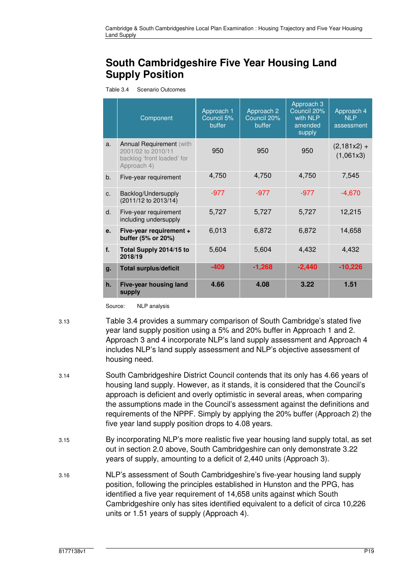# **South Cambridgeshire Five Year Housing Land Supply Position**

Table 3.4 Scenario Outcomes

|                | Component                                                                                          | Approach 1<br>Council 5%<br>buffer | Approach 2<br>Council 20%<br>buffer | Approach 3<br>Council 20%<br>with NLP<br>amended<br>supply | Approach 4<br><b>NLP</b><br>assessment |
|----------------|----------------------------------------------------------------------------------------------------|------------------------------------|-------------------------------------|------------------------------------------------------------|----------------------------------------|
| a.             | <b>Annual Requirement (with</b><br>2001/02 to 2010/11<br>backlog 'front loaded' for<br>Approach 4) | 950                                | 950                                 | 950                                                        | $(2,181x2) +$<br>(1,061x3)             |
| b <sub>1</sub> | Five-year requirement                                                                              | 4,750                              | 4,750                               | 4,750                                                      | 7,545                                  |
| C <sub>1</sub> | Backlog/Undersupply<br>(2011/12 to 2013/14)                                                        | $-977$                             | $-977$                              | $-977$                                                     | $-4,670$                               |
| d.             | Five-year requirement<br>including undersupply                                                     | 5,727                              | 5,727                               | 5,727                                                      | 12,215                                 |
| e.             | Five-year requirement +<br>buffer (5% or 20%)                                                      | 6,013                              | 6,872                               | 6,872                                                      | 14,658                                 |
| f.             | Total Supply 2014/15 to<br>2018/19                                                                 | 5,604                              | 5,604                               | 4,432                                                      | 4,432                                  |
| g.             | <b>Total surplus/deficit</b>                                                                       | $-409$                             | $-1,268$                            | $-2,440$                                                   | $-10,226$                              |
| h.             | Five-year housing land<br>supply                                                                   | 4.66                               | 4.08                                | 3.22                                                       | 1.51                                   |

Source: NLP analysis

3.13 Table 3.4 provides a summary comparison of South Cambridge's stated five year land supply position using a 5% and 20% buffer in Approach 1 and 2. Approach 3 and 4 incorporate NLP's land supply assessment and Approach 4 includes NLP's land supply assessment and NLP's objective assessment of housing need.

- 3.14 South Cambridgeshire District Council contends that its only has 4.66 years of housing land supply. However, as it stands, it is considered that the Council's approach is deficient and overly optimistic in several areas, when comparing the assumptions made in the Council's assessment against the definitions and requirements of the NPPF. Simply by applying the 20% buffer (Approach 2) the five year land supply position drops to 4.08 years.
- 3.15 By incorporating NLP's more realistic five year housing land supply total, as set out in section 2.0 above, South Cambridgeshire can only demonstrate 3.22 years of supply, amounting to a deficit of 2,440 units (Approach 3).
- 3.16 NLP's assessment of South Cambridgeshire's five-year housing land supply position, following the principles established in Hunston and the PPG, has identified a five year requirement of 14,658 units against which South Cambridgeshire only has sites identified equivalent to a deficit of circa 10,226 units or 1.51 years of supply (Approach 4).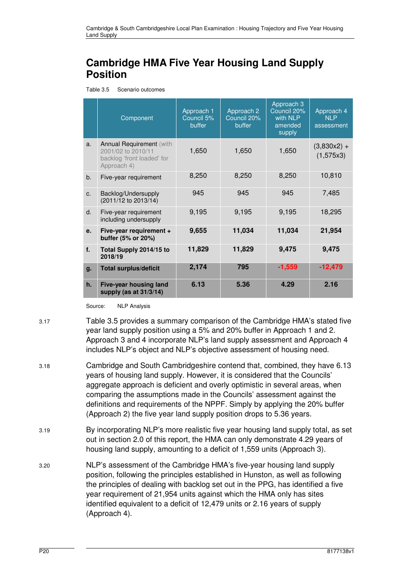# **Cambridge HMA Five Year Housing Land Supply Position**

Table 3.5 Scenario outcomes

|    | Component                                                                                          | Approach 1<br>Council 5%<br>buffer | Approach 2<br>Council 20%<br>buffer | Approach <sub>3</sub><br>Council 20%<br>with NLP<br>amended<br>supply | Approach 4<br><b>NLP</b><br>assessment |
|----|----------------------------------------------------------------------------------------------------|------------------------------------|-------------------------------------|-----------------------------------------------------------------------|----------------------------------------|
| a. | <b>Annual Requirement (with</b><br>2001/02 to 2010/11<br>backlog 'front loaded' for<br>Approach 4) | 1,650                              | 1,650                               | 1,650                                                                 | $(3,830x2) +$<br>(1,575x3)             |
| b. | Five-year requirement                                                                              | 8,250                              | 8,250                               | 8,250                                                                 | 10,810                                 |
| C. | Backlog/Undersupply<br>(2011/12 to 2013/14)                                                        | 945                                | 945                                 | 945                                                                   | 7,485                                  |
| d. | Five-year requirement<br>including undersupply                                                     | 9,195                              | 9,195                               | 9,195                                                                 | 18,295                                 |
| e. | Five-year requirement +<br>buffer (5% or 20%)                                                      | 9,655                              | 11,034                              | 11,034                                                                | 21,954                                 |
| f. | Total Supply 2014/15 to<br>2018/19                                                                 | 11,829                             | 11,829                              | 9,475                                                                 | 9,475                                  |
| g. | <b>Total surplus/deficit</b>                                                                       | 2,174                              | 795                                 | $-1,559$                                                              | $-12,479$                              |
| h. | <b>Five-year housing land</b><br>supply (as at 31/3/14)                                            | 6.13                               | 5.36                                | 4.29                                                                  | 2.16                                   |

Source: NLP Analysis

3.17 Table 3.5 provides a summary comparison of the Cambridge HMA's stated five year land supply position using a 5% and 20% buffer in Approach 1 and 2. Approach 3 and 4 incorporate NLP's land supply assessment and Approach 4 includes NLP's object and NLP's objective assessment of housing need.

- 3.18 Cambridge and South Cambridgeshire contend that, combined, they have 6.13 years of housing land supply. However, it is considered that the Councils' aggregate approach is deficient and overly optimistic in several areas, when comparing the assumptions made in the Councils' assessment against the definitions and requirements of the NPPF. Simply by applying the 20% buffer (Approach 2) the five year land supply position drops to 5.36 years.
- 3.19 By incorporating NLP's more realistic five year housing land supply total, as set out in section 2.0 of this report, the HMA can only demonstrate 4.29 years of housing land supply, amounting to a deficit of 1,559 units (Approach 3).
- 3.20 NLP's assessment of the Cambridge HMA's five-year housing land supply position, following the principles established in Hunston, as well as following the principles of dealing with backlog set out in the PPG, has identified a five year requirement of 21,954 units against which the HMA only has sites identified equivalent to a deficit of 12,479 units or 2.16 years of supply (Approach 4).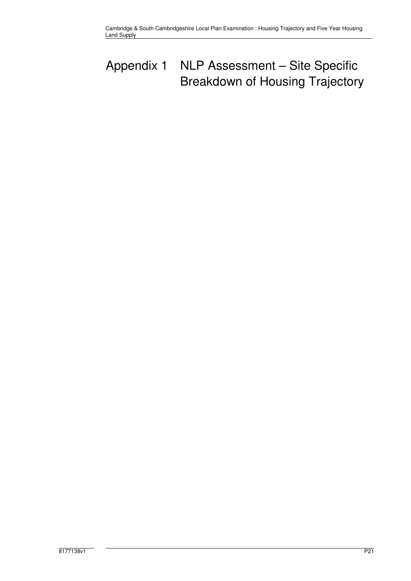# Appendix 1 NLP Assessment – Site Specific Breakdown of Housing Trajectory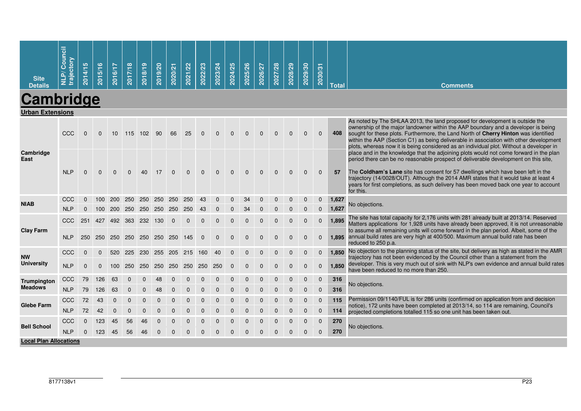| <b>Site</b><br><b>Details</b>  | Council<br>ctory<br>NLP/<br>traje | 2014/15        | 2015/16        | 2016/17         | 2017/18 | 2018/19 | 2019/20             | 2020/21  | 2021/22  | 2022/23    | 2023/24    | 2024/25     | 2025/26 | 2026/27    | 2027/28  | 2028/29  | 2029/30  | 2030/31        | <b>Total</b> | <b>Comments</b>                                                                                                                                                                                                                                                                                                                                                                                                                                                 |
|--------------------------------|-----------------------------------|----------------|----------------|-----------------|---------|---------|---------------------|----------|----------|------------|------------|-------------|---------|------------|----------|----------|----------|----------------|--------------|-----------------------------------------------------------------------------------------------------------------------------------------------------------------------------------------------------------------------------------------------------------------------------------------------------------------------------------------------------------------------------------------------------------------------------------------------------------------|
| Cambridge                      |                                   |                |                |                 |         |         |                     |          |          |            |            |             |         |            |          |          |          |                |              |                                                                                                                                                                                                                                                                                                                                                                                                                                                                 |
| <b>Urban Extensions</b>        |                                   |                |                |                 |         |         |                     |          |          |            |            |             |         |            |          |          |          |                |              |                                                                                                                                                                                                                                                                                                                                                                                                                                                                 |
|                                | <b>CCC</b>                        | 0              | $\Omega$       | 10 <sup>°</sup> |         | 115 102 | 90                  | 66       | 25       |            |            |             |         |            |          |          | $\Omega$ | $\mathbf{0}$   | 408          | As noted by The SHLAA 2013, the land proposed for development is outside the<br>ownership of the major landowner within the AAP boundary and a developer is being<br>sought for these plots. Furthermore, the Land North of Cherry Hinton was identified<br>within the AAP (Section C1) as being deliverable in association with other development<br>plots, whereas now it is being considered as an individual plot. Without a developer in                   |
| Cambridge<br>East              | <b>NLP</b>                        | $\Omega$       | $\Omega$       | $\Omega$        |         | 40      | 17                  | $\Omega$ |          | $\sqrt{ }$ |            | $\Omega$    |         | $\sqrt{ }$ | $\Omega$ | $\Omega$ | $\Omega$ | $\Omega$       | 57           | place and in the knowledge that the adjoining plots would not come forward in the plan<br>period there can be no reasonable prospect of deliverable development on this site.<br>The Coldham's Lane site has consent for 57 dwellings which have been left in the<br>trajectory (14/0028/OUT). Although the 2014 AMR states that it would take at least 4<br>years for first completions, as such delivery has been moved back one year to account<br>for this. |
| <b>NIAB</b>                    | CCC                               | $\mathbf{0}$   | 100            |                 |         |         | 200 250 250 250 250 |          | 250      | 43         |            | $\Omega$    | 34      |            |          |          | $\Omega$ | $\mathbf 0$    | 1,627        | No objections.                                                                                                                                                                                                                                                                                                                                                                                                                                                  |
|                                | <b>NLP</b>                        | $\Omega$       | 100            | <b>200</b>      | 250     | 250     | 250                 | 250      | 250      |            |            |             |         |            |          |          |          | $\Omega$       | 1,627        |                                                                                                                                                                                                                                                                                                                                                                                                                                                                 |
|                                | <b>CCC</b>                        | 251            |                | 427 492 363 232 |         |         | 130                 | $\Omega$ | $\Omega$ | $\Omega$   | $\Omega$   |             |         |            | $\Omega$ | $\Omega$ | $\Omega$ | $\Omega$       | 1,895        | The site has total capacity for 2,176 units with 281 already built at 2013/14. Reserved<br>Matters applications for 1,928 units have already been approved, it is not unreasonable                                                                                                                                                                                                                                                                              |
| <b>Clay Farm</b>               | <b>NLP</b>                        | 250            | 250            | 250             |         |         | 250 250 250         | 250      | 145      | $\sqrt{ }$ | $\sqrt{ }$ |             |         |            |          | $\Omega$ | $\Omega$ | $\Omega$       |              | to assume all remaining units will come forward in the plan period. Albeit, some of the<br>1,895 annual build rates are very high at 400/500. Maximum annual build rate has been<br>reduced to 250 p.a.                                                                                                                                                                                                                                                         |
|                                | CCC                               | $\Omega$       |                | 520             | 225     | 230     | 255                 | 205 215  |          | 160        | 40         |             |         |            |          |          | $\Omega$ | $\mathbf 0$    | 1.850        | No objection to the planning status of the site, but delivery as high as stated in the AMR                                                                                                                                                                                                                                                                                                                                                                      |
| <b>NW</b><br><b>University</b> | <b>NLP</b>                        | $\overline{0}$ | $\overline{0}$ | 100             | 250     | 250     | 250                 | 250      | 250      | 250        | 250        | $\mathbf 0$ |         |            |          |          | $\Omega$ | $\mathbf{0}$   | 1,850        | trajectory has not been evidenced by the Council other than a statement from the<br>developer. This is very much out of sink with NLP's own evidence and annual build rates<br>have been reduced to no more than 250.                                                                                                                                                                                                                                           |
| <b>Trumpington</b>             | CCC                               | 79             | 126            | 63              |         |         | 48                  |          |          |            |            |             |         |            |          |          | $\Omega$ | $\overline{0}$ | 316          |                                                                                                                                                                                                                                                                                                                                                                                                                                                                 |
| <b>Meadows</b>                 | <b>NLP</b>                        | 79             | 126            | 63              |         |         |                     |          |          |            |            |             |         |            |          |          | $\Omega$ | $\Omega$       | 316          | No objections.                                                                                                                                                                                                                                                                                                                                                                                                                                                  |
|                                | CCC                               | 72             | 43             |                 |         |         |                     |          |          |            |            |             |         |            |          |          | $\Omega$ | $\Omega$       | 115          | Permission 09/1140/FUL is for 286 units (confirmed on application from and decision                                                                                                                                                                                                                                                                                                                                                                             |
| <b>Glebe Farm</b>              | <b>NLP</b>                        | 72             | 42             |                 | C       |         |                     |          |          |            |            |             |         |            |          |          | $\Omega$ | $\overline{0}$ | 114          | notice), 172 units have been completed at 2013/14, so 114 are remaining, Council's<br>projected completions totalled 115 so one unit has been taken out.                                                                                                                                                                                                                                                                                                        |
|                                | CCC                               | 0              | 123            | 45              | 56      | 46      |                     |          |          |            |            |             |         |            |          |          | $\Omega$ | $\mathbf 0$    | 270          |                                                                                                                                                                                                                                                                                                                                                                                                                                                                 |
| <b>Bell School</b>             | <b>NLP</b>                        | $\mathbf 0$    | 123            | 45              | 56      | 46      |                     |          |          |            |            |             |         |            |          |          | $\Omega$ | $\overline{0}$ | 270          | No objections.                                                                                                                                                                                                                                                                                                                                                                                                                                                  |
| <b>Local Plan Allocations</b>  |                                   |                |                |                 |         |         |                     |          |          |            |            |             |         |            |          |          |          |                |              |                                                                                                                                                                                                                                                                                                                                                                                                                                                                 |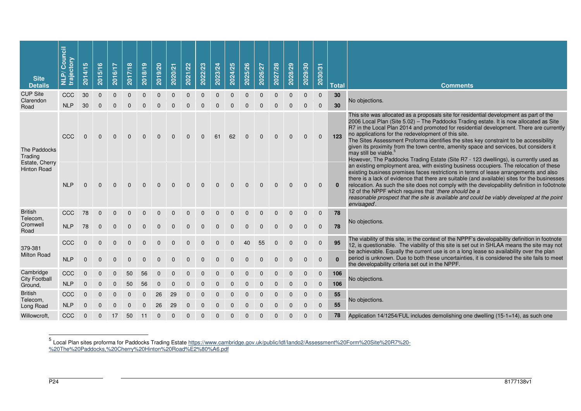| <b>Site</b><br><b>Details</b>        | <b>NLP/Council</b><br>trajectory | 5<br>2014/1  | 2015/16      | 2016/17      | 2017/18  | 2018/19  | 2019/20     | 2020/21      | 2021/22     | 2022/23     | 2023/24  | 2024/25  | 2025/26  | 2026/27  | 2027/28  | 2028/29  | 2029/30      | 2030/31      | <b>Total</b>         | <b>Comments</b>                                                                                                                                                                                                                                                                                                                                                                                                                                                                                                                                                                                                                       |
|--------------------------------------|----------------------------------|--------------|--------------|--------------|----------|----------|-------------|--------------|-------------|-------------|----------|----------|----------|----------|----------|----------|--------------|--------------|----------------------|---------------------------------------------------------------------------------------------------------------------------------------------------------------------------------------------------------------------------------------------------------------------------------------------------------------------------------------------------------------------------------------------------------------------------------------------------------------------------------------------------------------------------------------------------------------------------------------------------------------------------------------|
| <b>CUP Site</b><br>Clarendon         | CCC                              | 30           | $\mathbf{0}$ | $\Omega$     | $\Omega$ | $\Omega$ | $\Omega$    | $\Omega$     | $\Omega$    | $\Omega$    | $\Omega$ | $\Omega$ | $\Omega$ | $\Omega$ | $\Omega$ | $\Omega$ | $\mathbf{0}$ | $\mathbf{0}$ | 30                   | No objections.                                                                                                                                                                                                                                                                                                                                                                                                                                                                                                                                                                                                                        |
| Road                                 | <b>NLP</b>                       | 30           | $\Omega$     | $\Omega$     | $\Omega$ | $\Omega$ | $\Omega$    | $\Omega$     | $\Omega$    | $\Omega$    | $\Omega$ | $\Omega$ |          | $\Omega$ | $\Omega$ | $\Omega$ | $\Omega$     | $\Omega$     | 30                   |                                                                                                                                                                                                                                                                                                                                                                                                                                                                                                                                                                                                                                       |
| The Paddocks<br>Trading              | CCC                              | $\mathbf{0}$ | $\mathbf{0}$ | $\mathbf{0}$ | $\Omega$ | $\Omega$ | $\Omega$    | $\Omega$     | $\Omega$    | $\Omega$    | 61       | 62       | $\Omega$ | $\Omega$ |          |          |              | $\Omega$     | 123                  | This site was allocated as a proposals site for residential development as part of the<br>2006 Local Plan (Site 5.02) - The Paddocks Trading estate. It is now allocated as Site<br>R7 in the Local Plan 2014 and promoted for residential development. There are currently<br>no applications for the redevelopment of this site.<br>The Sites Assessment Proforma identifies the sites key constraint to be accessibility<br>given its proximity from the town centre, amenity space and services, but considers it<br>may still be viable.<br>However, The Paddocks Trading Estate (Site R7 - 123 dwellings), is currently used as |
| Estate, Cherry<br><b>Hinton Road</b> | <b>NLP</b>                       | $\Omega$     | $\Omega$     | $\Omega$     | $\Omega$ | $\Omega$ | $\Omega$    | $\Omega$     | $\Omega$    | $\Omega$    | $\Omega$ | $\Omega$ |          | $\Omega$ |          |          | $\Omega$     | $\Omega$     | $\bf{0}$             | an existing employment area, with existing business occupiers. The relocation of these<br>existing business premises faces restrictions in terms of lease arrangements and also<br>there is a lack of evidence that there are suitable (and available) sites for the businesses<br>relocation. As such the site does not comply with the developability definition in fo0otnote<br>12 of the NPPF which requires that 'there should be a<br>reasonable prospect that the site is available and could be viably developed at the point<br>envisaged.                                                                                   |
| <b>British</b>                       | CCC                              | 78           | $\Omega$     | $\Omega$     | $\Omega$ | $\Omega$ | $\Omega$    | $\Omega$     | $\Omega$    | $\Omega$    | $\Omega$ | $\Omega$ | $\Omega$ | $\Omega$ | $\Omega$ | $\Omega$ | $\Omega$     | $\mathbf 0$  | 78                   |                                                                                                                                                                                                                                                                                                                                                                                                                                                                                                                                                                                                                                       |
| Telecom.<br>Cromwell<br>Road         | <b>NLP</b>                       | 78           | $\mathbf{0}$ | $\Omega$     | $\Omega$ | $\Omega$ | $\Omega$    | $\Omega$     | $\Omega$    | $\Omega$    | $\Omega$ | $\Omega$ | $\Omega$ | $\Omega$ | $\Omega$ | $\Omega$ | $\Omega$     | $\mathbf 0$  | 78                   | No objections.                                                                                                                                                                                                                                                                                                                                                                                                                                                                                                                                                                                                                        |
| 379-381                              | CCC                              | $\Omega$     | $\Omega$     | $\Omega$     | $\Omega$ | $\Omega$ | $\Omega$    | $\Omega$     | $\Omega$    | $\Omega$    | $\Omega$ | $\Omega$ | 40       | 55       | $\Omega$ |          | $\Omega$     | $\Omega$     | 95                   | The viability of this site, in the context of the NPPF's developability definition in footnote<br>12, is questionable. The viability of this site is set out in SHLAA means the site may not<br>be achievable. Equally the current use is on a long lease so availability over the plan                                                                                                                                                                                                                                                                                                                                               |
| <b>Milton Road</b>                   | <b>NLP</b>                       | $\mathbf{0}$ | $\Omega$     | $\Omega$     | $\Omega$ |          |             |              |             |             |          |          |          |          |          |          |              | $\Omega$     | $\bf{0}$             | period is unknown. Due to both these uncertainties, it is considered the site fails to meet<br>the developability criteria set out in the NPPF.                                                                                                                                                                                                                                                                                                                                                                                                                                                                                       |
| Cambridge                            | CCC                              | $\Omega$     | $\Omega$     | $\Omega$     | 50       | 56       | $\Omega$    |              |             |             |          |          |          |          |          |          | $\Omega$     | $\mathbf{0}$ | 106                  |                                                                                                                                                                                                                                                                                                                                                                                                                                                                                                                                                                                                                                       |
| <b>City Football</b><br>Ground.      | <b>NLP</b>                       | $\mathbf{0}$ | $\Omega$     | $\Omega$     | 50       | 56       | $\Omega$    | $\Omega$     | $\Omega$    |             |          |          |          |          |          |          | $\Omega$     | $\Omega$     | 106                  | No objections.                                                                                                                                                                                                                                                                                                                                                                                                                                                                                                                                                                                                                        |
| <b>British</b><br>Telecom,           | CCC                              | $\mathbf{0}$ | $\Omega$     | $\Omega$     | $\Omega$ | $\Omega$ | 26          | 29           | $\Omega$    | $\Omega$    |          |          |          |          |          |          | $\Omega$     | $\Omega$     | 55                   |                                                                                                                                                                                                                                                                                                                                                                                                                                                                                                                                                                                                                                       |
| Long Road                            | <b>NLP</b>                       | $\mathbf{0}$ | $\Omega$     | $\Omega$     | $\Omega$ | $\Omega$ | 26          | 29           | $\Omega$    | $\Omega$    | $\Omega$ | $\Omega$ |          | $\Omega$ | $\Omega$ | $\Omega$ | $\Omega$     | $\Omega$     | No objections.<br>55 |                                                                                                                                                                                                                                                                                                                                                                                                                                                                                                                                                                                                                                       |
| Willowcroft,                         | CCC                              | $\mathbf 0$  | $\mathbf 0$  | 17           | 50       | 11       | $\mathbf 0$ | $\mathbf{0}$ | $\mathbf 0$ | $\mathbf 0$ |          |          |          |          |          |          |              | $\mathbf 0$  | 78                   | Application 14/1254/FUL includes demolishing one dwelling (15-1=14), as such one                                                                                                                                                                                                                                                                                                                                                                                                                                                                                                                                                      |

5<br>%20The%20Paddocks,%20Cherry%20Hinton%20Road%E2%80%A6.pdf<br>%20The%20Paddocks,%20Cherry%20Hinton%20Road%E2%80%A6.pdf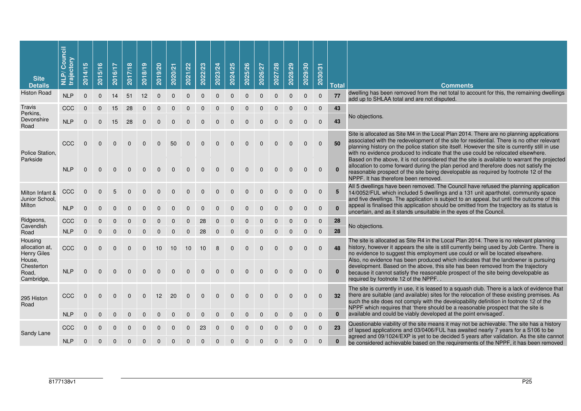| <b>Site</b><br><b>Details</b>                             | Council<br>trajectory<br>$\tilde{\mathbf{a}}$<br>달 | <b>SC</b><br>2014/1 | $\bullet$<br>2015/1 | 2016/17  | 2017/18  | 2018/19  | 2019/20  | 2020/21  | 2021/22  | 2022/23  | 2023/24  | 2024/25  | 2025/26  | 2026/27  | 2027/28  | 2028/29  | 2029/30  | 2030/31      | <b>Total</b> | <b>Comments</b>                                                                                                                                                                                                                                                                                                                                                            |
|-----------------------------------------------------------|----------------------------------------------------|---------------------|---------------------|----------|----------|----------|----------|----------|----------|----------|----------|----------|----------|----------|----------|----------|----------|--------------|--------------|----------------------------------------------------------------------------------------------------------------------------------------------------------------------------------------------------------------------------------------------------------------------------------------------------------------------------------------------------------------------------|
| <b>Histon Road</b>                                        | <b>NLP</b>                                         | $\mathbf{0}$        | $\mathbf{0}$        | 14       | 51       | 12       | $\Omega$ | $\Omega$ | $\Omega$ | $\Omega$ | $\Omega$ | $\Omega$ | $\Omega$ | $\Omega$ | $\Omega$ | $\Omega$ | $\Omega$ | $\Omega$     | 77           | dwelling has been removed from the net total to account for this, the remaining dwellings<br>add up to SHLAA total and are not disputed.                                                                                                                                                                                                                                   |
| Travis<br>Perkins,                                        | CCC                                                | $\Omega$            |                     | 15       | 28       | 0        |          |          |          |          |          |          |          |          |          |          | $\Omega$ | $\Omega$     | 43           |                                                                                                                                                                                                                                                                                                                                                                            |
| Devonshire<br>Road                                        | <b>NLP</b>                                         | $\Omega$            | $\Omega$            | 15       | 28       | $\Omega$ | $\Omega$ | $\Omega$ | 0        | n        | U        | U        | O        |          |          |          | $\Omega$ | $\mathbf{0}$ | 43           | No objections.                                                                                                                                                                                                                                                                                                                                                             |
| Police Station,                                           | CCC                                                | $\Omega$            | $\Omega$            | 0        | 0        | 0        | $\Omega$ | 50       | $\Omega$ | $\Omega$ | $\Omega$ | $\Omega$ | 0        | O        |          |          | $\Omega$ | $\mathbf 0$  | 50           | Site is allocated as Site M4 in the Local Plan 2014. There are no planning applications<br>associated with the redevelopment of the site for residential. There is no other relevant<br>planning history on the police station site itself. However the site is currently still in use<br>with no evidence produced to indicate that the use could be relocated elsewhere. |
| Parkside                                                  | <b>NLP</b>                                         | $\Omega$            | $\Omega$            | $\Omega$ | $\Omega$ | $\Omega$ | $\Omega$ | $\Omega$ | $\Omega$ | $\Omega$ | $\Omega$ | $\Omega$ | $\Omega$ |          |          |          |          | $\mathbf{0}$ | $\mathbf{0}$ | Based on the above, it is not considered that the site is available to warrant the projected<br>allocation to come forward during the plan period and therefore does not satisfy the<br>reasonable prospect of the site being developable as required by footnote 12 of the<br>NPPF. It has therefore been removed.                                                        |
| Milton Infant &<br>Junior School,                         | CCC                                                | $\Omega$            | 0                   | 5        |          |          |          |          | ŋ        | n        | U        | $\Omega$ | 0        | ŋ        | U        |          | O        | $\mathbf{0}$ | 5            | All 5 dwellings have been removed. The Council have refused the planning application<br>14/0052/FUL which included 5 dwellings and a 131 unit aparthotel, community space<br>and five dwellings. The application is subject to an appeal, but until the outcome of this                                                                                                    |
| Milton                                                    | <b>NLP</b>                                         | $\Omega$            |                     |          |          |          |          |          |          |          |          |          |          |          |          |          |          | $\mathbf{0}$ | $\mathbf{0}$ | appeal is finalised this application should be omitted from the trajectory as its status is<br>uncertain, and as it stands unsuitable in the eyes of the Council.                                                                                                                                                                                                          |
| Ridgeons,<br>Cavendish                                    | CCC                                                |                     |                     |          |          |          |          |          |          | 28       |          |          |          |          |          |          |          | $\mathbf{0}$ | 28           | No objections.                                                                                                                                                                                                                                                                                                                                                             |
| Road                                                      | <b>NLP</b>                                         | $\mathbf{0}$        | $\Omega$            | $\Omega$ |          |          |          |          | $\Omega$ | 28       | $\Omega$ | $\Omega$ | $\Omega$ |          |          |          | $\Omega$ | $\Omega$     | 28           |                                                                                                                                                                                                                                                                                                                                                                            |
| Housing<br>allocation at.<br><b>Henry Giles</b><br>House, | CCC                                                | $\Omega$            | $\Omega$            | 0        | 0        | $\Omega$ | 10       | 10       | 10       | 10       | 8        | $\Omega$ | $\Omega$ | O        |          |          | $\Omega$ | $\Omega$     | 48           | The site is allocated as Site R4 in the Local Plan 2014. There is no relevant planning<br>history, however it appears the site is still currently being used by Job Centre. There is<br>no evidence to suggest this employment use could or will be located elsewhere.<br>Also, no evidence has been produced which indicates that the landowner is pursuing               |
| Chesterton<br>Road,<br>Cambridge,                         | <b>NLP</b>                                         | $\mathbf{0}$        | $\Omega$            | $\Omega$ | $\Omega$ | 0        | $\Omega$ | 0        | $\Omega$ | $\Omega$ | $\Omega$ | $\Omega$ | $\Omega$ | $\Omega$ | $\Omega$ |          |          | $\mathbf{0}$ | $\mathbf{0}$ | development. Based on the above, this site has been removed from the trajectory<br>because it cannot satisfy the reasonable prospect of the site being developable as<br>required by footnote 12 of the NPPF.                                                                                                                                                              |
| 295 Histon<br>Road                                        | CCC                                                | $\Omega$            | $\Omega$            | $\Omega$ | $\Omega$ | $\Omega$ | 12       | 20       | $\Omega$ | $\Omega$ | $\Omega$ | $\Omega$ | $\Omega$ | $\Omega$ | $\Omega$ |          | $\Omega$ | $\Omega$     | 32           | The site is currently in use, it is leased to a squash club. There is a lack of evidence that<br>there are suitable (and available) sites for the relocation of these existing premises. As<br>such the site does not comply with the developability definition in footnote 12 of the<br>NPPF which requires that 'there should be a reasonable prospect that the site is  |
|                                                           | <b>NLP</b>                                         | 0                   |                     |          |          |          |          |          |          |          |          |          |          |          |          |          |          | $\Omega$     | $\mathbf{0}$ | available and could be viably developed at the point envisaged'.                                                                                                                                                                                                                                                                                                           |
| Sandy Lane                                                | CCC                                                |                     |                     |          |          |          |          |          |          | 23       | O        | 0        |          |          |          |          |          | $\Omega$     | 23           | Questionable viability of the site means it may not be achievable. The site has a history<br>of lapsed applications and 03/0406/FUL has awaited nearly 7 years for a S106 to be<br>agreed and 09/1024/EXP is yet to be decided 5 years after validation. As the site cannot                                                                                                |
|                                                           | <b>NLP</b>                                         | 0                   |                     |          |          |          |          |          |          |          |          |          |          |          |          |          |          | $\mathbf{0}$ | $\bf{0}$     | be considered achievable based on the requirements of the NPPF, it has been removed                                                                                                                                                                                                                                                                                        |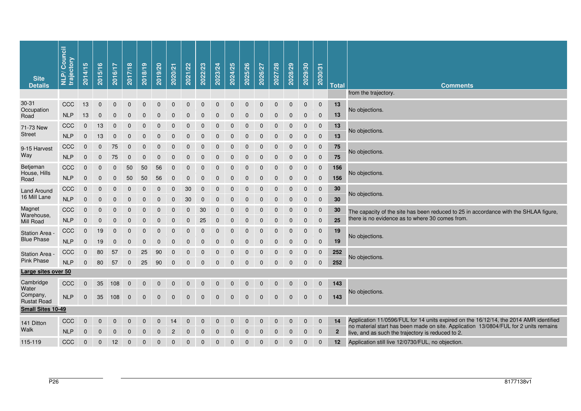| from the trajectory.<br>$30 - 31$<br>13<br>CCC<br>13<br>$\mathbf 0$<br>$\mathbf 0$<br>$\mathbf 0$<br>0<br>0<br>$\mathbf 0$<br>0<br>$\mathbf 0$<br>0<br>$\mathbf 0$<br>$\mathbf 0$<br>$\mathbf 0$<br>$\mathbf 0$<br>$\mathbf 0$<br>$\mathbf 0$<br>$\mathbf{0}$<br>Occupation<br>No objections.<br>13<br><b>NLP</b><br>13<br>$\mathbf 0$<br>$\mathbf 0$<br>0<br>$\mathbf 0$<br>$\mathbf{0}$<br>$\mathbf{0}$<br>$\mathbf{0}$<br>$\mathbf{0}$<br>$\Omega$<br>$\Omega$<br>$\Omega$<br>$\Omega$<br>$\Omega$<br>$\Omega$<br>$\mathbf 0$<br>$\mathbf 0$<br>Road |  |
|---------------------------------------------------------------------------------------------------------------------------------------------------------------------------------------------------------------------------------------------------------------------------------------------------------------------------------------------------------------------------------------------------------------------------------------------------------------------------------------------------------------------------------------------------------|--|
|                                                                                                                                                                                                                                                                                                                                                                                                                                                                                                                                                         |  |
|                                                                                                                                                                                                                                                                                                                                                                                                                                                                                                                                                         |  |
|                                                                                                                                                                                                                                                                                                                                                                                                                                                                                                                                                         |  |
| CCC<br>13<br>13<br>$\mathbf 0$<br>$\mathbf 0$<br>0<br>$\mathbf 0$<br>$\mathbf 0$<br>$\mathbf 0$<br>$\mathbf 0$<br>$\mathbf 0$<br>$\mathbf{0}$<br>$\mathbf 0$<br>$\mathbf{0}$<br>$\mathbf{0}$<br>$\Omega$<br>$\Omega$<br>$\Omega$<br>$\Omega$<br>71-73 New<br>No objections.                                                                                                                                                                                                                                                                             |  |
| <b>Street</b><br>13<br><b>NLP</b><br>$13$<br>$\mathsf{O}\xspace$<br>$\pmb{0}$<br>$\pmb{0}$<br>$\mathbf 0$<br>0<br>$\mathbf 0$<br>$\pmb{0}$<br>$\mathbf 0$<br>$\mathbf 0$<br>$\Omega$<br>$\Omega$<br>$\Omega$<br>$\Omega$<br>$\Omega$<br>$\mathbf{0}$<br>$\mathbf 0$                                                                                                                                                                                                                                                                                     |  |
| CCC<br>75<br>$\mathbf 0$<br>$\mathbf 0$<br>$\pmb{0}$<br>75<br>$\mathbf 0$<br>$\mathbf 0$<br>$\mathbf 0$<br>0<br>$\mathbf 0$<br>$\mathbf 0$<br>$\mathbf 0$<br>$\Omega$<br>$\Omega$<br>$\Omega$<br>$\Omega$<br>$\mathbf 0$<br>$\mathbf 0$<br>9-15 Harvest<br>No objections.                                                                                                                                                                                                                                                                               |  |
| Way<br><b>NLP</b><br>75<br>75<br>$\mathbf 0$<br>$\pmb{0}$<br>$\mathbf 0$<br>$\pmb{0}$<br>$\pmb{0}$<br>$\pmb{0}$<br>$\mathbf 0$<br>$\mathbf 0$<br>$\mathbf 0$<br>$\mathbf 0$<br>0<br>$\mathbf 0$<br>$\mathbf 0$<br>$\mathbf 0$<br>$\mathbf 0$<br>$\mathbf 0$                                                                                                                                                                                                                                                                                             |  |
| Betjeman<br>CCC<br>50<br>50<br>56<br>156<br>$\mathbf 0$<br>0<br>0<br>0<br>0<br>$\mathbf 0$<br>$\boldsymbol{0}$<br>$\mathbf 0$<br>$\mathbf 0$<br>$\mathbf{0}$<br>$\mathbf 0$<br>$\mathbf 0$<br>$\mathbf 0$<br>$\boldsymbol{0}$<br>House, Hills<br>No objections.                                                                                                                                                                                                                                                                                         |  |
| <b>NLP</b><br>$\mathbf 0$<br>50<br>50<br>56<br>156<br>0<br>0<br>$\mathbf 0$<br>0<br>$\mathbf 0$<br>$\mathbf 0$<br>$\mathbf 0$<br>$\mathbf 0$<br>$\mathbf{0}$<br>$\mathbf 0$<br>$\mathbf 0$<br>$\mathbf 0$<br>$\mathbf 0$<br>Road                                                                                                                                                                                                                                                                                                                        |  |
| 30<br>CCC<br>$\pmb{0}$<br>$\mathbf 0$<br>30<br>$\mathbf 0$<br>0<br>$\mathbf 0$<br>0<br>$\mathbf 0$<br>$\mathbf 0$<br>$\mathbf 0$<br>$\mathbf 0$<br>$\Omega$<br>$\Omega$<br>$\Omega$<br>$\mathbf{0}$<br>0<br>$\mathbf 0$<br><b>Land Around</b><br>No objections.                                                                                                                                                                                                                                                                                         |  |
| 16 Mill Lane<br><b>NLP</b><br>30<br>30<br>$\mathbf{0}$<br>$\mathbf 0$<br>$\mathbf 0$<br>0<br>$\mathbf 0$<br>$\mathbf 0$<br>$\mathbf 0$<br>$\mathbf{0}$<br>$\mathbf{0}$<br>$\mathbf{0}$<br>$\mathbf{0}$<br>$\mathbf{0}$<br>$\mathbf{0}$<br>$\Omega$<br>$\mathbf{0}$<br>$\Omega$                                                                                                                                                                                                                                                                          |  |
| Magnet<br>CCC<br>$\mathbf 0$<br>30<br>30<br>$\Omega$<br>$\Omega$<br>0<br>$\mathbf 0$<br>$\mathbf 0$<br>$\mathbf 0$<br>$\mathbf{0}$<br>$\Omega$<br>$\Omega$<br>$\Omega$<br>$\Omega$<br>$\Omega$<br>$\mathbf 0$<br>$\mathbf{0}$<br>$\Omega$<br>The capacity of the site has been reduced to 25 in accordance with the SHLAA figure,<br>Warehouse,                                                                                                                                                                                                         |  |
| there is no evidence as to where 30 comes from.<br><b>NLP</b><br>25<br>$\mathbf 0$<br>$\overline{0}$<br>$\mathbf 0$<br>0<br>$\mathbf 0$<br>$\pmb{0}$<br>$\mathbf 0$<br>$\pmb{0}$<br>25<br>$\mathbf 0$<br>$\mathbf 0$<br>$\Omega$<br>$\Omega$<br>$\Omega$<br>$\Omega$<br>$\Omega$<br>$\Omega$<br>Mill Road                                                                                                                                                                                                                                               |  |
| 19<br>CCC<br>19<br>$\mathbf 0$<br>$\mathbf 0$<br>$\mathbf 0$<br>$\mathbf 0$<br>$\mathbf{0}$<br>$\mathbf{0}$<br>$\mathbf{0}$<br>$\Omega$<br>$\Omega$<br>$\Omega$<br>$\Omega$<br>$\mathbf 0$<br>$\mathbf 0$<br>$\mathbf 0$<br>$\mathbf 0$<br>0<br><b>Station Area</b><br>No objections.                                                                                                                                                                                                                                                                   |  |
| <b>Blue Phase</b><br><b>NLP</b><br>19<br>19<br>$\mathbf 0$<br>$\mathbf 0$<br>0<br>$\mathbf 0$<br>$\mathbf 0$<br>$\mathbf 0$<br>$\mathbf 0$<br>$\mathbf 0$<br>$\mathbf 0$<br>$\mathbf{0}$<br>$\Omega$<br>$\Omega$<br>$\Omega$<br>$\Omega$<br>$\mathbf{0}$<br>$\mathbf 0$                                                                                                                                                                                                                                                                                 |  |
| CCC<br>80<br>57<br>25<br>90<br>0<br>0<br>0<br>0<br>0<br>0<br>$\mathbf 0$<br>$\mathbf 0$<br>$\Omega$<br>$\Omega$<br>$\mathbf 0$<br>$\mathbf 0$<br>252<br>$\Omega$<br><b>Station Area</b><br>No objections.                                                                                                                                                                                                                                                                                                                                               |  |
| <b>Pink Phase</b><br><b>NLP</b><br>25<br>252<br>80<br>57<br>90<br>$\mathbf 0$<br>$\mathbf 0$<br>$\mathbf 0$<br>0<br>$\mathbf 0$<br>$\mathbf 0$<br>$\mathbf 0$<br>$\mathbf 0$<br>$\mathbf 0$<br>$\mathbf 0$<br>$\Omega$<br>$\mathbf 0$<br>$\mathbf 0$                                                                                                                                                                                                                                                                                                    |  |
| Large sites over 50                                                                                                                                                                                                                                                                                                                                                                                                                                                                                                                                     |  |
| Cambridge<br>35<br>108<br>143<br>CCC<br>$\mathbf 0$<br>$\overline{0}$<br>$\mathbf 0$<br>$\mathbf 0$<br>$\mathbf 0$<br>$\mathbf 0$<br>$\mathbf 0$<br>$\mathbf{0}$<br>$\Omega$<br>$\Omega$<br>$\Omega$<br>$\Omega$<br>$\mathbf 0$<br>$\mathbf 0$<br>$\mathbf 0$<br>Water                                                                                                                                                                                                                                                                                  |  |
| No objections.<br>Company,<br><b>NLP</b><br>35<br>$\mathbf 0$<br>$\mathbf 0$<br>108<br>$\mathbf 0$<br>$\mathbf 0$<br>$\mathbf 0$<br>$\mathbf 0$<br>$\mathbf 0$<br>$\mathbf 0$<br>$\mathbf{0}$<br>$\mathbf{0}$<br>$\Omega$<br>$\mathbf{0}$<br>$\mathbf{0}$<br>$\Omega$<br>$\mathbf{0}$<br>143<br><b>Rustat Road</b>                                                                                                                                                                                                                                      |  |
| <b>Small Sites 10-49</b>                                                                                                                                                                                                                                                                                                                                                                                                                                                                                                                                |  |
| Application 11/0596/FUL for 14 units expired on the 16/12/14, the 2014 AMR identified<br>14<br>CCC<br>$\mathbf{0}$<br>0<br>$\mathbf 0$<br>0<br>14<br>$\boldsymbol{0}$<br>$\mathbf 0$<br>$\mathbf 0$<br>$\mathbf 0$<br>$\Omega$<br>$\Omega$<br>$\Omega$<br>$\Omega$<br>$\mathbf{0}$<br>$\Omega$<br>0<br>0<br>141 Ditton                                                                                                                                                                                                                                  |  |
| no material start has been made on site. Application 13/0804/FUL for 2 units remains<br>Walk<br><b>NLP</b><br>$\mathbf{2}$<br>$\mathbf 0$<br>$\mathbf 0$<br>$\mathbf{0}$<br>$\mathbf 0$<br>$\mathbf 0$<br>$\mathbf 0$<br>$\mathbf{0}$<br>$\mathbf{0}$<br>$\mathbf{0}$<br>$\mathbf{0}$<br>$\mathbf{0}$<br>$\mathbf{0}$<br>$\mathbf{0}$<br>$\Omega$<br>$\Omega$<br>$\mathbf{0}$<br>$\mathbf{2}$<br>live, and as such the trajectory is reduced to 2.                                                                                                      |  |
| CCC<br>12<br>$\pmb{0}$<br>$\mathbf 0$<br>$\mathbf 0$<br>12<br>Application still live 12/0730/FUL, no objection.<br>115-119<br>$\mathbf{0}$<br>0<br>0<br>$\mathbf 0$<br>$\mathbf 0$<br>$\boldsymbol{0}$<br>$\mathbf 0$<br>$\boldsymbol{0}$<br>$\mathbf 0$<br>$\mathbf 0$<br>$\mathbf{0}$<br>$\mathbf 0$<br>$\mathbf 0$                                                                                                                                                                                                                                   |  |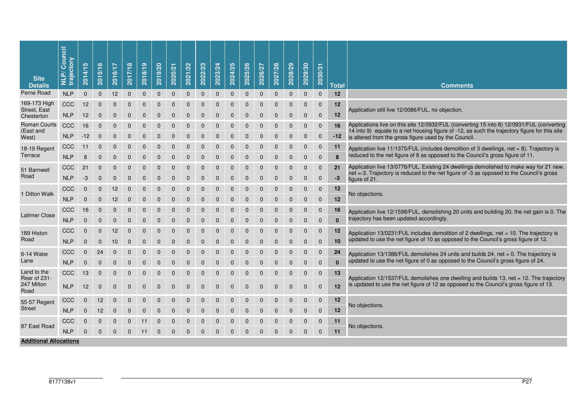| <b>Site</b><br><b>Details</b>      | Council<br>trajectory<br>$\tilde{\mathbf{a}}$<br>긎 | 5<br>2014/1  | ဖ<br>$\overline{5}/\overline{1}$<br>201 | 6/17<br>201     | 2017/18        | 2018/19        | 2019/20      | 2020/21        | 2021/22        | 2022/23        | 2023/24      | 2024/25        | 2025/26      | 2026/27        | 2027/28        | 2028/29      | 2029/30        | 2030/31        | <b>Total</b> | <b>Comments</b>                                                                                                                                                                    |
|------------------------------------|----------------------------------------------------|--------------|-----------------------------------------|-----------------|----------------|----------------|--------------|----------------|----------------|----------------|--------------|----------------|--------------|----------------|----------------|--------------|----------------|----------------|--------------|------------------------------------------------------------------------------------------------------------------------------------------------------------------------------------|
| Perne Road                         | <b>NLP</b>                                         | $\mathbf{0}$ | $\mathbf 0$                             | 12 <sup>2</sup> | $\mathbf 0$    | 0              | $\mathbf{0}$ | $\mathbf 0$    | 0              | 0              | $\mathbf{0}$ | $\mathbf 0$    | $\mathbf 0$  | $\mathbf 0$    | $\mathbf{0}$   | $\mathbf 0$  | $\mathbf 0$    | $\mathbf 0$    | 12           |                                                                                                                                                                                    |
| 169-173 High                       | CCC                                                | 12           | $\overline{0}$                          | $\Omega$        | $\Omega$       |                | $\Omega$     | $\Omega$       | $\Omega$       | $\Omega$       |              | $\Omega$       | $\Omega$     | $\Omega$       | $\Omega$       | $\Omega$     | $\Omega$       | $\mathbf{0}$   | 12           |                                                                                                                                                                                    |
| Street, East<br>Chesterton         | <b>NLP</b>                                         | 12           | $\mathbf 0$                             | $\Omega$        | $\Omega$       | $\Omega$       | $\Omega$     | $\Omega$       | $\Omega$       | $\overline{0}$ | $\Omega$     | $\Omega$       | $\Omega$     | $\overline{0}$ | $\Omega$       | $\Omega$     | $\Omega$       | 0              | 12           | Application still live 12/0086/FUL, no objection.                                                                                                                                  |
| <b>Roman Courts</b>                | CCC                                                | 16           | 0                                       | $\Omega$        | 0              |                |              |                |                |                |              | 0              | 0            | 0              | $\Omega$       | $\Omega$     | $\Omega$       | $\mathbf 0$    | 16           | Applications live on this site 12/0932/FUL (converting 15 into 8) 12/0931/FUL (converting                                                                                          |
| (East and<br>West)                 | <b>NLP</b>                                         | $-12$        | $\overline{0}$                          | $\Omega$        | $\Omega$       |                |              | $\Omega$       | $\Omega$       | 0              |              | $\Omega$       | $\Omega$     | $\Omega$       | $\Omega$       | $\Omega$     | $\Omega$       | 0              | -12          | 14 into 9) equate to a net housing figure of -12, as such the trajectory figure for this site<br>is altered from the gross figure used by the Council.                             |
| 18-19 Regent                       | CCC                                                | 11           | $\Omega$                                |                 |                |                |              |                |                |                |              |                | 0            | $\Omega$       | $\Omega$       | $\Omega$     | $\Omega$       | 0              | 11           | Application live 11/1375/FUL (includes demolition of 3 dwellings, net = 8). Trajectory is                                                                                          |
| Terrace                            | <b>NLP</b>                                         | 8            | $\mathbf 0$                             | $\Omega$        | $\Omega$       | $\Omega$       | $\Omega$     | $\Omega$       | $\Omega$       | $\Omega$       | $\Omega$     | $\mathbf 0$    | $\Omega$     | $\Omega$       | $\overline{0}$ | 0            | $\Omega$       | $\Omega$       | 8            | reduced to the net figure of 8 as opposed to the Council's gross figure of 11.                                                                                                     |
| 51 Barnwell                        | CCC                                                | 21           | $\mathbf{0}$                            | $\mathbf 0$     | $\overline{0}$ | 0              | $\mathbf 0$  | $\overline{0}$ | 0              | 0              | $\mathbf 0$  | $\mathbf{0}$   | $\mathbf 0$  | 0              | $\mathbf{0}$   | $\mathbf{0}$ | $\Omega$       | $\mathbf{0}$   | 21           | Application live 13/0776/FUL. Existing 24 dwellings demolished to make way for 21 new,<br>net =-3. Trajectory is reduced to the net figure of -3 as opposed to the Council's gross |
| Road                               | <b>NLP</b>                                         | -3           | $\mathbf 0$                             | $\Omega$        | $\Omega$       | $\Omega$       | $\Omega$     | $\Omega$       | 0              | $\Omega$       | $\Omega$     | $\Omega$       | $\Omega$     | $\Omega$       | $\Omega$       | $\Omega$     | 0              | 0              | $-3$         | figure of 21.                                                                                                                                                                      |
|                                    | CCC                                                | $\Omega$     | $\Omega$                                | 12              | $\Omega$       | $\Omega$       | $\Omega$     | $\Omega$       | $\Omega$       | $\Omega$       | $\Omega$     | $\Omega$       | $\Omega$     | $\Omega$       | $\Omega$       | $\Omega$     | $\Omega$       | $\overline{0}$ | 12           |                                                                                                                                                                                    |
| 1 Ditton Walk                      | <b>NLP</b>                                         | $\Omega$     | $\Omega$                                | 12              | $\Omega$       | 0              | O            | ი              | ი              | O              |              | ი              | 0            | O              | $\Omega$       | $\Omega$     | $\Omega$       | 0              | 12           | No objections.                                                                                                                                                                     |
|                                    | CCC                                                | 16           | $\mathbf 0$                             | $\Omega$        | $\Omega$       |                | $\Omega$     | $\Omega$       | $\Omega$       | $\Omega$       | $\Omega$     | $\Omega$       | $\Omega$     | $\Omega$       | $\Omega$       | $\Omega$     | $\Omega$       | 0              | 16           | Application live 12/1598/FUL, demolishing 20 units and building 20, the net gain is 0. The                                                                                         |
| <b>Latimer Close</b>               | <b>NLP</b>                                         | $\mathbf{0}$ | $\Omega$                                | $\Omega$        | $\Omega$       | $\Omega$       | $\Omega$     | $\Omega$       | $\Omega$       | $\Omega$       | $\Omega$     | $\Omega$       | $\Omega$     | $\Omega$       | $\Omega$       | $\Omega$     | $\Omega$       | $\Omega$       | $\mathbf{0}$ | trajectory has been updated accordingly.                                                                                                                                           |
| 189 Histon                         | CCC                                                | $\mathbf{0}$ | $\mathbf 0$                             | 12              | $\overline{0}$ | 0              | 0            | $\Omega$       | $\overline{0}$ | 0              | $\mathbf 0$  | $\mathbf 0$    | $\mathbf 0$  | $\Omega$       | $\mathbf 0$    | $\mathbf 0$  | $\overline{0}$ | 0              | 12           | Application 13/0231/FUL includes demolition of 2 dwellings, net = 10. The trajectory is                                                                                            |
| Road                               | <b>NLP</b>                                         | $\mathbf{0}$ | $\mathbf 0$                             | 10              | $\mathbf 0$    | $\overline{0}$ | $\mathbf{0}$ | 0              | 0              | 0              | $\mathbf{0}$ | $\overline{0}$ | $\mathbf{0}$ | 0              | $\Omega$       | $\Omega$     | $\Omega$       | $\mathbf{0}$   | 10           | updated to use the net figure of 10 as opposed to the Council's gross figure of 12.                                                                                                |
| 6-14 Water                         | CCC                                                | $\mathbf{0}$ | 24                                      |                 |                |                |              |                |                |                |              |                |              |                |                | 0            | $\Omega$       | 0              | 24           | Application 13/1386/FUL demolishes 24 units and builds 24, net = 0. The trajectory is                                                                                              |
| Lane                               | <b>NLP</b>                                         | $\Omega$     | $\Omega$                                | $\Omega$        | $\Omega$       | 0              | 0            | $\Omega$       | $\Omega$       | 0              | 0            | 0              | $\Omega$     | $\Omega$       | $\Omega$       | $\Omega$     | $\Omega$       | $\Omega$       | $\mathbf{0}$ | updated to use the net figure of 0 as opposed to the Council's gross figure of 24.                                                                                                 |
| Land to the                        | CCC                                                | 13           | 0                                       | $\Omega$        |                |                |              |                |                | 0              |              |                |              | 0              | $\Omega$       | $\Omega$     | $\Omega$       | 0              | 13           |                                                                                                                                                                                    |
| Rear of 231-<br>247 Milton<br>Road | <b>NLP</b>                                         | 12           | $\mathbf 0$                             | $\mathbf{0}$    | 0              | $\overline{0}$ | $\mathbf{0}$ | 0              | 0              | 0              | $\mathbf{0}$ | $\mathbf{0}$   | $\mathbf{0}$ | 0              | $\mathbf{0}$   | $\mathbf{0}$ | 0              | $\mathbf 0$    | 12           | Application 12/1537/FUL demolishes one dwelling and builds 13, net = 12. The trajectory<br>is updated to use the net figure of 12 as opposed to the Council's gross figure of 13.  |
| 55-57 Regent                       | CCC                                                | $\mathbf{0}$ | 12                                      | 0               | 0              | 0              | 0            | 0              | 0              | 0              | 0            | 0              | 0            | 0              | $\mathbf 0$    | $\mathbf 0$  | 0              | $\mathbf{0}$   | 12           |                                                                                                                                                                                    |
| <b>Street</b>                      | <b>NLP</b>                                         | $\mathbf 0$  | 12                                      | $\Omega$        | $\Omega$       | $\Omega$       | $\Omega$     | $\Omega$       | $\Omega$       | $\Omega$       | $\Omega$     | $\Omega$       | $\Omega$     | $\Omega$       | $\Omega$       | $\Omega$     | $\mathbf 0$    | $\mathbf{0}$   | 12           | No objections.                                                                                                                                                                     |
|                                    | CCC                                                | $\mathbf{0}$ | 0                                       | 0               | 0              | 11             | 0            | 0              | 0              | 0              |              | $\mathbf 0$    | 0            | 0              | $\mathbf 0$    | $\mathbf{0}$ | 0              | $\mathbf 0$    | 11           |                                                                                                                                                                                    |
| 87 East Road                       | <b>NLP</b>                                         | $\Omega$     | $\Omega$                                | $\Omega$        | $\Omega$       | 11             | $\Omega$     | $\Omega$       | $\Omega$       | $\Omega$       | $\Omega$     | $\Omega$       | $\Omega$     | $\Omega$       | $\Omega$       | $\Omega$     | $\Omega$       | $\mathbf{0}$   | 11           | No objections.                                                                                                                                                                     |
| <b>Additional Allocations</b>      |                                                    |              |                                         |                 |                |                |              |                |                |                |              |                |              |                |                |              |                |                |              |                                                                                                                                                                                    |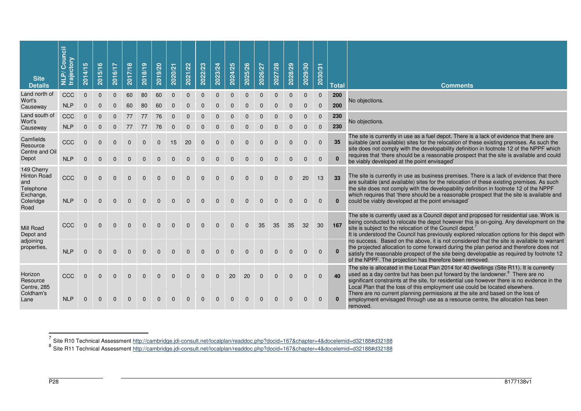| <b>Site</b><br><b>Details</b>                        | Council<br>trajectory<br><b>NTN</b> | 2014/15      | 2015/16      | 2016/17      | 2017/18  | 2018/19  | 2019/20      | 2020/21      | 2021/22      | 2022/23      | 2023/24      | 2024/25      | 2025/26     | 2026/27      | 2027/28      | 2028/29     | 2029/30     | 2030/31      | <b>Total</b> | <b>Comments</b>                                                                                                                                                                                                                                                                                                                                                       |
|------------------------------------------------------|-------------------------------------|--------------|--------------|--------------|----------|----------|--------------|--------------|--------------|--------------|--------------|--------------|-------------|--------------|--------------|-------------|-------------|--------------|--------------|-----------------------------------------------------------------------------------------------------------------------------------------------------------------------------------------------------------------------------------------------------------------------------------------------------------------------------------------------------------------------|
| Land north of<br>Wort's                              | CCC                                 | $\mathbf 0$  | $\mathbf 0$  | $\mathbf 0$  | 60       | 80       | 60           | $\mathbf 0$  | $\pmb{0}$    | $\pmb{0}$    | $\mathbf 0$  | $\mathbf 0$  | $\mathbf 0$ | $\mathbf 0$  | $\mathbf 0$  | $\mathbf 0$ | $\mathbf 0$ | $\mathbf 0$  | 200          | No objections.                                                                                                                                                                                                                                                                                                                                                        |
| Causeway                                             | <b>NLP</b>                          | $\mathbf{0}$ | $\mathbf{0}$ | $\Omega$     | 60       | 80       | 60           | $\Omega$     | $\Omega$     | $\Omega$     | $\Omega$     | $\Omega$     | $\Omega$    |              | $\Omega$     | $\Omega$    | $\mathbf 0$ | $\mathbf 0$  | 200          |                                                                                                                                                                                                                                                                                                                                                                       |
| Land south of<br>Wort's                              | CCC                                 | $\mathbf 0$  | $\Omega$     |              | 77       | 77       | 76           |              |              |              |              |              |             |              |              |             | $\Omega$    | $\mathbf 0$  | 230          | No objections.                                                                                                                                                                                                                                                                                                                                                        |
| Causeway                                             | <b>NLP</b>                          | $\mathbf 0$  | $\mathbf 0$  | $\mathbf{0}$ | 77       | 77       | 76           | $\mathbf{0}$ | $\mathbf{0}$ | $\mathbf{0}$ | $\Omega$     | $\Omega$     | $\Omega$    | $\Omega$     | $\Omega$     | $\Omega$    | $\mathbf 0$ | $\mathbf 0$  | 230          |                                                                                                                                                                                                                                                                                                                                                                       |
| Camfields<br>Resource<br>Centre and Oil              | CCC                                 | $\mathbf{0}$ | $\Omega$     | $\Omega$     | $\Omega$ | $\Omega$ | $\mathbf{0}$ | 15           | 20           | $\mathbf{0}$ | $\mathbf{0}$ | $\mathbf{0}$ | $\Omega$    | $\Omega$     | $\Omega$     | $\Omega$    | $\Omega$    | $\mathbf{0}$ | 35           | The site is currently in use as a fuel depot. There is a lack of evidence that there are<br>suitable (and available) sites for the relocation of these existing premises. As such the<br>site does not comply with the developability definition in footnote 12 of the NPPF which                                                                                     |
| Depot                                                | <b>NLP</b>                          | $\mathbf{0}$ | $\Omega$     | $\Omega$     | $\Omega$ | $\Omega$ | $\Omega$     | $\Omega$     | $\Omega$     | $\Omega$     | $\Omega$     | $\Omega$     | $\Omega$    | $\Omega$     | $\Omega$     | $\Omega$    | $\Omega$    | $\mathbf{0}$ | $\mathbf{0}$ | requires that 'there should be a reasonable prospect that the site is available and could<br>be viably developed at the point envisaged'                                                                                                                                                                                                                              |
| 149 Cherry<br><b>Hinton Road</b><br>and<br>Telephone | CCC                                 | $\Omega$     | $\Omega$     | $\Omega$     | $\Omega$ | $\Omega$ | $\Omega$     | $\Omega$     | $\Omega$     | $\Omega$     | $\Omega$     | $\Omega$     | $\Omega$    | $\Omega$     | $\Omega$     | $\Omega$    | 20          | 13           | 33           | The site is currently in use as business premises. There is a lack of evidence that there<br>are suitable (and available) sites for the relocation of these existing premises. As such<br>the site does not comply with the developability definition in footnote 12 of the NPPF                                                                                      |
| Exchange,<br>Coleridge<br>Road                       | <b>NLP</b>                          | $\Omega$     | $\Omega$     | $\Omega$     | $\Omega$ | $\Omega$ | $\Omega$     | $\Omega$     | $\Omega$     | $\Omega$     | $\Omega$     | $\Omega$     | $\Omega$    | $\Omega$     | $\Omega$     | $\Omega$    | $\Omega$    | $\Omega$     | $\bf{0}$     | which requires that 'there should be a reasonable prospect that the site is available and<br>could be viably developed at the point envisaged'                                                                                                                                                                                                                        |
| Mill Road<br>Depot and                               | CCC                                 | $\Omega$     | $\Omega$     | $\Omega$     | $\Omega$ | $\Omega$ | $\Omega$     | $\Omega$     | $\Omega$     | $\Omega$     | $\Omega$     | $\Omega$     | $\Omega$    | 35           | 35           | 35          | 32          | 30           | 167          | The site is currently used as a Council depot and proposed for residential use. Work is<br>being conducted to relocate the depot however this is on-going. Any development on the<br>site is subject to the relocation of the Council depot.<br>It is understood the Council has previously explored relocation options for this depot with                           |
| adjoining<br>properties,                             | <b>NLP</b>                          | $\Omega$     | $\Omega$     | $\Omega$     | $\Omega$ | $\Omega$ | $\Omega$     | $\Omega$     | $\Omega$     | $\Omega$     | $\Omega$     | $\Omega$     | $\Omega$    | $\Omega$     | $\Omega$     | $\Omega$    | $\Omega$    | $\Omega$     | $\bf{0}$     | no success. Based on the above, it is not considered that the site is available to warrant<br>the projected allocation to come forward during the plan period and therefore does not<br>satisfy the reasonable prospect of the site being developable as required by footnote 12<br>of the NPPF. The projection has therefore been removed.                           |
| Horizon<br>Resource<br>Centre, 285                   | CCC                                 | $\Omega$     | $\Omega$     | $\Omega$     | $\Omega$ | $\Omega$ | $\Omega$     | $\Omega$     | $\Omega$     | $\Omega$     | $\Omega$     | 20           | 20          | $\Omega$     | $\Omega$     | $\Omega$    | $\Omega$    | $\Omega$     | 40           | The site is allocated in the Local Plan 2014 for 40 dwellings (Site R11). It is currently<br>used as a day centre but has been put forward by the landowner. <sup>8</sup> There are no<br>significant constraints at the site, for residential use however there is no evidence in the<br>Local Plan that the loss of this employment use could be located elsewhere. |
| Coldham's<br>Lane                                    | <b>NLP</b>                          | $\Omega$     | $\Omega$     | $\Omega$     | $\Omega$ | $\Omega$ | $\Omega$     | $\Omega$     | $\Omega$     | $\Omega$     | $\Omega$     | $\Omega$     | $\Omega$    | $\mathbf{0}$ | $\mathbf{0}$ | $\Omega$    | $\Omega$    | $\Omega$     |              | There are no current planning permissions at the site and based on the loss of<br>employment envisaged through use as a resource centre, the allocation has been<br>removed.                                                                                                                                                                                          |

<sup>7</sup> Site R10 Technical Assessment <u>http://cambridge.jdi-consult.net/localplan/readdoc.php?docid=167&chapter=4&docelemid=d32188#d32188<br><sup>8</sup> Site R11 Technical Assessment <u>http://cambridge.jdi-consult.net/localplan/readdoc.ph</u></u>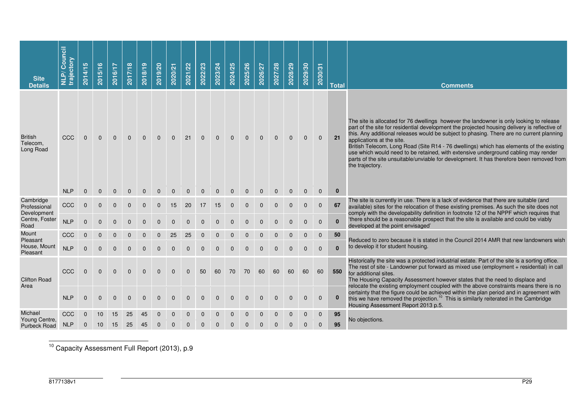| <b>Site</b><br><b>Details</b>           | Council<br>trajectory<br>$\tilde{\mathbf{a}}$<br>긎 | S<br>2014/1  | 2015/16      | 2016/17      | 2017/18      | 2018/19      | 2019/20      | 2020/21      | 2021/22      | 2022/23      | 2023/24      | 2024/25      | 2025/26        | 2026/27      | 2027/28      | 2028/29      | 2029/30      | 2030/31      | <b>Total</b>                                    | <b>Comments</b>                                                                                                                                                                                                                                                                                                                                                                                                                                                                                                                                                                                                   |
|-----------------------------------------|----------------------------------------------------|--------------|--------------|--------------|--------------|--------------|--------------|--------------|--------------|--------------|--------------|--------------|----------------|--------------|--------------|--------------|--------------|--------------|-------------------------------------------------|-------------------------------------------------------------------------------------------------------------------------------------------------------------------------------------------------------------------------------------------------------------------------------------------------------------------------------------------------------------------------------------------------------------------------------------------------------------------------------------------------------------------------------------------------------------------------------------------------------------------|
| <b>British</b><br>Telecom,<br>Long Road | CCC                                                | $\mathbf 0$  | $\mathbf{0}$ | $\mathbf{0}$ | $\mathbf{0}$ | $\mathbf{0}$ | $\mathbf{0}$ | $\mathbf{0}$ | 21           | $\mathbf{0}$ | $\mathbf 0$  | $\mathbf{0}$ | $\mathbf{0}$   | $\mathbf{0}$ | $\mathbf{0}$ | $\mathbf 0$  | $\mathbf 0$  | $\mathbf 0$  | 21                                              | The site is allocated for 76 dwellings however the landowner is only looking to release<br>part of the site for residential development the projected housing delivery is reflective of<br>this. Any additional releases would be subject to phasing. There are no current planning<br>applications at the site.<br>British Telecom, Long Road (Site R14 - 76 dwellings) which has elements of the existing<br>use which would need to be retained, with extensive underground cabling may render<br>parts of the site unsuitable/unviable for development. It has therefore been removed from<br>the trajectory. |
| Cambridge                               | <b>NLP</b>                                         | $\mathbf 0$  | $\mathbf{0}$ | $\mathbf{0}$ | $\mathbf{0}$ | $\mathbf{0}$ | $\mathbf{0}$ | $\mathbf{0}$ | $\mathbf{0}$ | $\mathbf{0}$ | $\mathbf{0}$ | $\mathbf{0}$ | $\mathbf{0}$   | $\mathbf{0}$ | $\mathbf{0}$ | $\mathbf 0$  | $\mathbf 0$  | $\mathbf 0$  | $\bf{0}$                                        | The site is currently in use. There is a lack of evidence that there are suitable (and                                                                                                                                                                                                                                                                                                                                                                                                                                                                                                                            |
| Professional<br>Development             | CCC                                                | $\mathbf{0}$ | 0            | 0            | $\Omega$     | $\Omega$     | $\mathbf{0}$ | 15           | 20           | 17           | 15           | $\mathbf 0$  | $\mathbf{0}$   | $\mathbf{0}$ | $\Omega$     | $\mathbf{0}$ | $\mathbf{0}$ | $\mathbf{0}$ | 67                                              | available) sites for the relocation of these existing premises. As such the site does not<br>comply with the developability definition in footnote 12 of the NPPF which requires that                                                                                                                                                                                                                                                                                                                                                                                                                             |
| Centre, Foster<br>Road                  | <b>NLP</b>                                         | $\Omega$     |              |              |              |              |              |              | $\Omega$     | $\Omega$     | $\Omega$     | $\Omega$     | $\Omega$       | $\Omega$     | $\Omega$     | $\mathbf{0}$ | $\mathbf{0}$ | $\mathbf 0$  | $\mathbf{0}$                                    | 'there should be a reasonable prospect that the site is available and could be viably<br>developed at the point envisaged'                                                                                                                                                                                                                                                                                                                                                                                                                                                                                        |
| Mount<br>Pleasant                       | CCC                                                | $\Omega$     |              |              |              | 0            | 0            | 25           | 25           | 0            | 0            | 0            | $\mathbf{0}$   |              |              | 0            | 0            | $\mathbf 0$  | 50                                              | Reduced to zero because it is stated in the Council 2014 AMR that new landowners wish                                                                                                                                                                                                                                                                                                                                                                                                                                                                                                                             |
| House, Mount<br>Pleasant                | <b>NLP</b>                                         | $\Omega$     |              |              |              | $\Omega$     | $\Omega$     | $\Omega$     | $\Omega$     | $\Omega$     | $\Omega$     | $\Omega$     | $\Omega$       | $\Omega$     |              | $\Omega$     | $\Omega$     | $\Omega$     | $\mathbf{0}$                                    | to develop it for student housing.                                                                                                                                                                                                                                                                                                                                                                                                                                                                                                                                                                                |
| <b>Clifton Road</b><br>Area             | CCC                                                | $\Omega$     | $\Omega$     | $\Omega$     | $\Omega$     | $\Omega$     | $\Omega$     | $\Omega$     | $\mathbf{0}$ | 50           | 60           | 70           | 70             | 60           | 60           | 60           | 60           | 60           | 550                                             | Historically the site was a protected industrial estate. Part of the site is a sorting office.<br>The rest of site - Landowner put forward as mixed use (employment + residential) in call<br>for additional sites.<br>The Housing Capacity Assessment however states that the need to displace and<br>relocate the existing employment coupled with the above constraints means there is no                                                                                                                                                                                                                      |
|                                         | <b>NLP</b>                                         | $\mathbf{0}$ | $\Omega$     | $\Omega$     | $\mathbf{0}$ | $\Omega$     | $\mathbf{0}$ | $\Omega$     | $\Omega$     | $\Omega$     | $\Omega$     | $\mathbf{0}$ | $\mathbf{0}$   | $\mathbf{0}$ | $\mathbf{0}$ | $\mathbf{0}$ | $\mathbf{0}$ | $\mathbf{0}$ | $\bf{0}$<br>Housing Assessment Report 2013 p.5. | certainty that the figure could be achieved within the plan period and in agreement with<br>this we have removed the projection. <sup>10</sup> This is similarly reiterated in the Cambridge                                                                                                                                                                                                                                                                                                                                                                                                                      |
| Michael<br>Young Centre,                | CCC                                                | $\mathbf{0}$ | 10           | 15           | 25           | 45           | $\mathbf 0$  | 0            |              |              | $\Omega$     | $\Omega$     | $\Omega$       | $\Omega$     | $\Omega$     | 0            | $\mathbf 0$  | $\mathbf 0$  | 95                                              | No objections.                                                                                                                                                                                                                                                                                                                                                                                                                                                                                                                                                                                                    |
| <b>Purbeck Road</b>                     | <b>NLP</b>                                         | $\mathbf 0$  | 10           | 15           | 25           | 45           | $\mathbf 0$  | 0            | $\Omega$     | $\Omega$     | $\Omega$     | 0            | $\overline{0}$ |              |              | 0            | $\mathbf 0$  | $\mathbf 0$  | 95                                              |                                                                                                                                                                                                                                                                                                                                                                                                                                                                                                                                                                                                                   |

10 Capacity Assessment Full Report (2013), p.9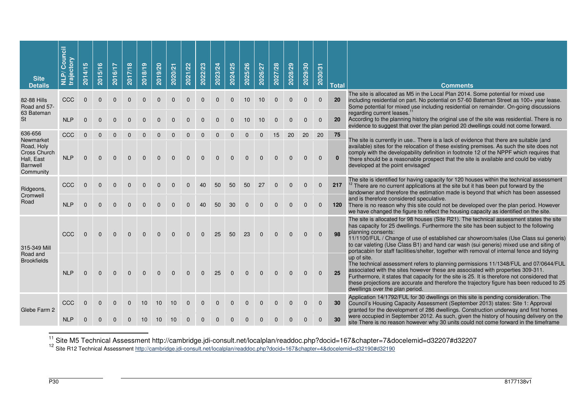| <b>Site</b><br><b>Details</b>                                                                           | Council<br>trajectory<br>NLP/ | 2014/15                  | 2015/16              | 2016/17              | 2017/18              | 2018/19              | 2019/20              | 2020/21              | 2021/22              | 2022/23      | 2023/24      | 2024/25              | 2025/26              | 2026/27              | 2027/28                  | 2028/29                  | 2029/30              | 2030/31                  | <b>Total</b>       | <b>Comments</b>                                                                                                                                                                                                                                                                                                                                                                                                                                                                                                                                                                     |
|---------------------------------------------------------------------------------------------------------|-------------------------------|--------------------------|----------------------|----------------------|----------------------|----------------------|----------------------|----------------------|----------------------|--------------|--------------|----------------------|----------------------|----------------------|--------------------------|--------------------------|----------------------|--------------------------|--------------------|-------------------------------------------------------------------------------------------------------------------------------------------------------------------------------------------------------------------------------------------------------------------------------------------------------------------------------------------------------------------------------------------------------------------------------------------------------------------------------------------------------------------------------------------------------------------------------------|
| 82-88 Hills<br>Road and 57-<br>63 Bateman                                                               | CCC                           | $\Omega$                 | $\Omega$             | $\Omega$             | $\Omega$             | $\Omega$             | $\Omega$             | $\Omega$             | $\Omega$             | $\Omega$     | $\Omega$     | $\mathbf{0}$         | 10                   | 10                   | $\mathbf{0}$             | $\mathbf{0}$             | $\Omega$             | $\mathbf{0}$             | 20                 | The site is allocated as M5 in the Local Plan 2014. Some potential for mixed use<br>including residential on part. No potential on 57-60 Bateman Street as 100+ year lease.<br>Some potential for mixed use including residential on remainder. On-going discussions<br>regarding current leases.                                                                                                                                                                                                                                                                                   |
| <b>St</b>                                                                                               | <b>NLP</b>                    | $\Omega$                 | $\Omega$             | $\Omega$             | $\Omega$             | $\Omega$             | $\Omega$             | $\Omega$             | $\Omega$             | $\Omega$     | $\Omega$     | $\Omega$             | 10                   | 10                   | $\Omega$                 | $\Omega$                 | $\Omega$             | $\Omega$                 | 20                 | According to the planning history the original use of the site was residential. There is no<br>evidence to suggest that over the plan period 20 dwellings could not come forward.                                                                                                                                                                                                                                                                                                                                                                                                   |
| 636-656<br>Newmarket<br>Road, Holy<br><b>Cross Church</b><br>Hall, East<br><b>Barnwell</b><br>Community | CCC<br><b>NLP</b>             | $\mathbf{0}$<br>$\Omega$ | $\Omega$<br>$\Omega$ | $\Omega$<br>$\Omega$ | $\Omega$<br>$\Omega$ | $\Omega$             | $\Omega$             | $\Omega$             | $\Omega$             | $\Omega$     | $\Omega$     | $\Omega$<br>$\Omega$ | $\Omega$<br>$\Omega$ | $\Omega$<br>$\Omega$ | 15<br>$\Omega$           | 20<br>$\Omega$           | 20<br>$\Omega$       | 20<br>$\Omega$           | 75<br>$\mathbf{0}$ | The site is currently in use There is a lack of evidence that there are suitable (and<br>available) sites for the relocation of these existing premises. As such the site does not<br>comply with the developability definition in footnote 12 of the NPPF which requires that<br>'there should be a reasonable prospect that the site is available and could be viably<br>developed at the point envisaged'                                                                                                                                                                        |
| Ridgeons,<br>Cromwell<br>Road                                                                           | CCC<br><b>NLP</b>             | $\Omega$<br>$\Omega$     | $\Omega$<br>$\Omega$ | $\Omega$<br>$\Omega$ | $\Omega$<br>$\Omega$ | $\Omega$<br>$\Omega$ | $\Omega$<br>$\Omega$ | $\Omega$<br>$\Omega$ | $\Omega$<br>$\Omega$ | 40<br>40     | 50<br>50     | 50<br>30             | 50<br>$\Omega$       | 27<br>$\Omega$       | $\mathbf{0}$<br>$\Omega$ | $\mathbf{0}$<br>$\Omega$ | $\Omega$<br>$\Omega$ | $\mathbf{0}$<br>$\Omega$ | 217<br>120         | The site is identified for having capacity for 120 houses within the technical assessment<br><sup>12</sup> There are no current applications at the site but it has been put forward by the<br>landowner and therefore the estimation made is beyond that which has been assessed<br>and is therefore considered speculative.<br>There is no reason why this site could not be developed over the plan period. However                                                                                                                                                              |
| 315-349 Mill                                                                                            | CCC                           | $\Omega$                 | $\Omega$             | $\Omega$             | $\Omega$             | $\Omega$             | $\Omega$             | $\Omega$             | $\Omega$             | $\Omega$     | 25           | 50                   | 23                   | $\Omega$             | $\Omega$                 | $\Omega$                 | $\Omega$             | $\Omega$                 | 98                 | we have changed the figure to reflect the housing capacity as identified on the site.<br>The site is allocated for 98 houses (Site R21). The technical assessment states the site<br>has capacity for 25 dwellings. Furthermore the site has been subject to the following<br>planning consents:<br>11/1100/FUL / Change of use of established car showroom/sales (Use Class sui generis)<br>to car valeting (Use Class B1) and hand car wash (sui generis) mixed use and siting of<br>portacabin for staff facilities/shelter, together with removal of internal fence and tidying |
| Road and<br><b>Brookfields</b>                                                                          | <b>NLP</b>                    | $\Omega$                 | $\Omega$             | $\Omega$             | $\Omega$             | $\Omega$             | $\Omega$             | $\Omega$             | $\Omega$             | $\Omega$     | 25           | $\Omega$             | $\Omega$             | $\Omega$             |                          |                          |                      | $\Omega$                 | 25                 | up of site.<br>The technical assessment refers to planning permissions 11/1348/FUL and 07/0644/FUL<br>associated with the sites however these are associated with properties 309-311.<br>Furthermore, it states that capacity for the site is 25. It is therefore not considered that<br>these projections are accurate and therefore the trajectory figure has been reduced to 25<br>dwellings over the plan period.                                                                                                                                                               |
| Glebe Farm 2                                                                                            | CCC                           | $\mathbf{0}$             | $\mathbf{0}$         | $\Omega$             | $\mathbf{0}$         | 10 <sup>10</sup>     | 10                   | 10                   | $\mathbf{0}$         | $\mathbf{0}$ | $\mathbf{0}$ | $\mathbf{0}$         | $\mathbf{0}$         | $\mathbf{0}$         | $\Omega$                 | 0                        | $\Omega$             | $\Omega$                 | 30                 | Application 14/1792/FUL for 30 dwellings on this site is pending consideration. The<br>Council's Housing Capacity Assessment (September 2013) states: Site 1: Approval<br>granted for the development of 286 dwellings. Construction underway and first homes                                                                                                                                                                                                                                                                                                                       |
|                                                                                                         | <b>NLP</b>                    | $\Omega$                 |                      |                      |                      |                      |                      |                      |                      |              |              |                      |                      |                      |                          |                          |                      | $\Omega$                 | 30                 | were occupied in September 2012. As such, given the history of housing delivery on the<br>site There is no reason however why 30 units could not come forward in the timeframe                                                                                                                                                                                                                                                                                                                                                                                                      |

<sup>11</sup> Site M5 Technical Assessment http://cambridge.jdi-consult.net/localplan/readdoc.php?docid=167&chapter=7&docelemid=d32207#d32207<br><sup>12</sup> Site R12 Technical Assessment <u>http://cambridge.jdi-consult.net/localplan/readdoc.ph</u>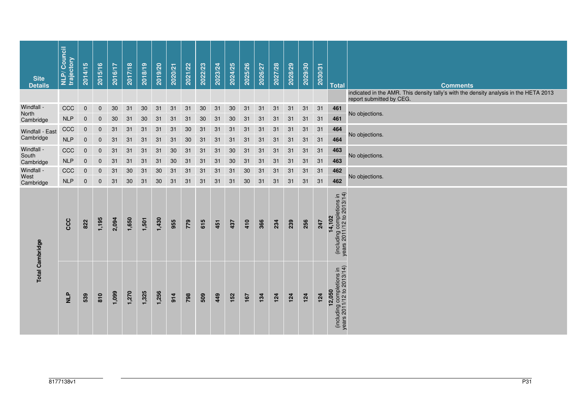| <b>Site</b><br><b>Details</b> | <b>NLP/Council</b><br>trajectory | 5<br>2014/1 | 2015/16      | <b>2016/17</b> | 2017/18 | 2018/19 | 2019/20 | 2020/21 | 2021/22 | 2022/23 | 2023/24 | 2024/25 | 2025/26 | 2026/27 | 2027/28 | 2028/29 | 2029/30 | 2030/31 | <b>Total</b>                                                     | <b>Comments</b>                                                                                                   |
|-------------------------------|----------------------------------|-------------|--------------|----------------|---------|---------|---------|---------|---------|---------|---------|---------|---------|---------|---------|---------|---------|---------|------------------------------------------------------------------|-------------------------------------------------------------------------------------------------------------------|
|                               |                                  |             |              |                |         |         |         |         |         |         |         |         |         |         |         |         |         |         |                                                                  | indicated in the AMR. This density tally's with the density analysis in the HETA 2013<br>report submitted by CEG. |
| Windfall -<br>North           | CCC                              | $\mathbf 0$ | $\mathbf 0$  | 30             | 31      | 30      | 31      | 31      | 31      | 30      | 31      | $30\,$  | 31      | 31      | 31      | 31      | 31      | 31      | 461                                                              | No objections.                                                                                                    |
| Cambridge                     | <b>NLP</b>                       | $\mathbf 0$ | $\mathbf{0}$ | 30             | 31      | 30      | 31      | 31      | 31      | 30      | 31      | 30      | 31      | 31      | 31      | 31      | 31      | 31      | 461                                                              |                                                                                                                   |
| Windfall - East               | CCC                              | $\mathbf 0$ | $\mathbf 0$  | 31             | 31      | 31      | 31      | 31      | 30      | 31      | 31      | 31      | 31      | 31      | 31      | 31      | 31      | 31      | 464                                                              | No objections.                                                                                                    |
| Cambridge                     | NLP                              | $\mathbf 0$ | $\mathbf 0$  | 31             | 31      | 31      | 31      | 31      | $30\,$  | 31      | 31      | 31      | 31      | 31      | 31      | 31      | 31      | 31      | 464                                                              |                                                                                                                   |
| Windfall -<br>South           | CCC                              | $\mathbf 0$ | $\mathbf{0}$ | 31             | 31      | 31      | 31      | 30      | 31      | 31      | 31      | 30      | 31      | 31      | 31      | 31      | 31      | 31      | 463                                                              | No objections.                                                                                                    |
| Cambridge                     | NLP                              | $\pmb{0}$   | $\mathbf 0$  | 31             | 31      | 31      | 31      | 30      | 31      | 31      | 31      | 30      | 31      | 31      | 31      | 31      | 31      | 31      | 463                                                              |                                                                                                                   |
| Windfall -<br>West            | CCC                              | $\mathbf 0$ | $\mathbf 0$  | 31             | 30      | 31      | 30      | 31      | 31      | 31      | 31      | 31      | 30      | 31      | 31      | 31      | 31      | 31      | 462                                                              | No objections.                                                                                                    |
| Cambridge                     | <b>NLP</b>                       | $\mathbf 0$ | $\pmb{0}$    | 31             | 30      | 31      | 30      | 31      | 31      | 31      | 31      | 31      | 30      | 31      | 31      | 31      | 31      | 31      | 462                                                              |                                                                                                                   |
| <b>Total Cambridge</b>        | CCC                              | 822         | 1,195        | 2,094          | 1,650   | 1,501   | 1,430   | 955     | 779     | 615     | 451     | 437     | 410     | 366     | 234     | 239     | 256     | 247     | (including completions in<br>years 2011/12 to 2013/14)<br>14,102 |                                                                                                                   |
|                               | $\frac{p}{N}$                    | 539         | 810          | 1,099          | 1,270   | 1,325   | 1,256   | 914     | 798     | 509     | 449     | 152     | 167     | 134     | 124     | 124     | 124     | 124     | (including completions in<br>years 2011/12 to 2013/14)<br>12,050 |                                                                                                                   |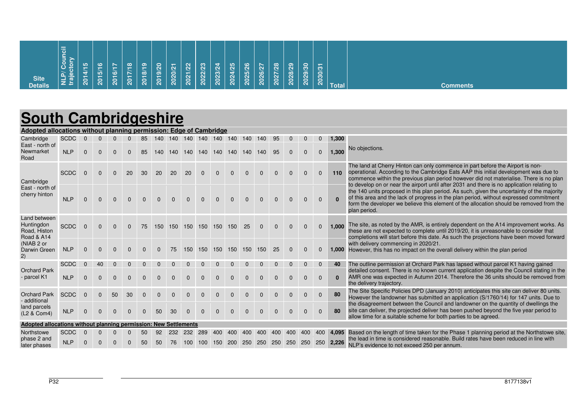| Site<br>Details | 同<br><b>NLP/Coun<br/>trajectory</b> | 5<br><b>START OF</b><br>ने<br>-<br>$\overline{\mathbf{a}}$ | <b>O</b><br>$\overline{\phantom{0}}$<br><u> 61</u><br>$\overline{\mathbf{S}}$ | $\overline{ }$<br>$\frac{1}{16}$<br>$\overline{8}$ | $\frac{8}{1}$<br><b>STEP</b><br>$\overline{a}$ | $\frac{6}{1}$<br>$\frac{1}{2}$<br>$\overline{\mathbf{S}}$ | $\overline{S}$<br>$\widetilde{e}$<br>່ຊ | $\overline{21}$<br>2020 | 2021/22 | 2022/23 | $\mathbf{z}$<br>2023/2 | ್ನಿ<br>2024/2 | 2025/26 | $\sim$<br>$\mathbf{N}$<br>2026/ | /28<br>2027 | 2028/29 | $\mathbf{S}^{\mathbf{O}}$<br>2029/ | $\sim$<br>က<br>2030 |              |          |
|-----------------|-------------------------------------|------------------------------------------------------------|-------------------------------------------------------------------------------|----------------------------------------------------|------------------------------------------------|-----------------------------------------------------------|-----------------------------------------|-------------------------|---------|---------|------------------------|---------------|---------|---------------------------------|-------------|---------|------------------------------------|---------------------|--------------|----------|
|                 |                                     |                                                            |                                                                               |                                                    |                                                |                                                           |                                         |                         |         |         |                        |               |         |                                 |             |         |                                    |                     | <b>Total</b> | Comments |

# **South Cambridgeshire**

| Adopted allocations without planning permission: Edge of Cambridge |             |          |          |          |          |          |          |          |                     |          |                     |            |          |          |          |          |          |              |          |                                                                                                                                                                                                                                                                                                                                                                |
|--------------------------------------------------------------------|-------------|----------|----------|----------|----------|----------|----------|----------|---------------------|----------|---------------------|------------|----------|----------|----------|----------|----------|--------------|----------|----------------------------------------------------------------------------------------------------------------------------------------------------------------------------------------------------------------------------------------------------------------------------------------------------------------------------------------------------------------|
| Cambridge                                                          | <b>SCDC</b> |          |          |          |          | 85       | 140      |          | 140 140 140 140 140 |          |                     |            | 140      | 140      | 95       |          |          | $\mathbf{0}$ | 1,300    |                                                                                                                                                                                                                                                                                                                                                                |
| East - north of<br>Newmarket<br>Road                               | <b>NLP</b>  | $\Omega$ | $\Omega$ | $\Omega$ | $\Omega$ | 85       | 140      | 140      | 140                 | 140      | 140                 | 140        | 140      | 140      | 95       | $\Omega$ | $\Omega$ | $\mathbf{0}$ | 1,300    | No objections.                                                                                                                                                                                                                                                                                                                                                 |
| Cambridge                                                          | <b>SCDC</b> | $\Omega$ | $\Omega$ | $\Omega$ | 20       | 30       | 20       | 20       | 20                  | $\Omega$ | $\Omega$            | $\Omega$   |          | $\Omega$ |          |          | $\Omega$ | $\Omega$     | 110      | The land at Cherry Hinton can only commence in part before the Airport is non-<br>operational. According to the Cambridge Eats AAP this initial development was due to<br>commence within the previous plan period however did not materialise. There is no plan<br>to develop on or near the airport until after 2031 and there is no application relating to |
| East - north of<br>cherry hinton                                   | <b>NLP</b>  | $\Omega$ | $\Omega$ | $\Omega$ | $\Omega$ | $\Omega$ | $\Omega$ | $\Omega$ |                     |          |                     |            |          |          |          |          |          | $\Omega$     |          | the 140 units proposed in this plan period. As such, given the uncertainty of the majority<br>of this area and the lack of progress in the plan period, without expressed commitment<br>form the developer we believe this element of the allocation should be removed from the<br>plan period.                                                                |
| Land between<br>Huntingdon<br>Road, Histon<br>Road & A14           | <b>SCDC</b> | $\Omega$ | $\Omega$ | $\Omega$ | $\Omega$ | 75       | 150      | 150      | 150                 | 150      | 150                 | 150        | 25       | $\Omega$ | $\Omega$ |          | $\Omega$ | $\Omega$     | 1.000    | The site, as noted by the AMR, is entirely dependent on the A14 improvement works. As<br>these are not expected to complete until 2019/20, it is unreasonable to consider that<br>completions will start before this date. As such the projections have been moved forward                                                                                     |
| (NIAB 2 or<br>Darwin Green<br>2)                                   | <b>NLP</b>  | $\Omega$ |          | $\Omega$ | $\Omega$ | $\Omega$ | $\Omega$ | 75       | 150                 |          | 150 150 150 150 150 |            |          |          | 25       | $\Omega$ | $\Omega$ | $\mathbf{0}$ |          | with delivery commencing in 2020/21.<br><b>1,000</b> However, this has no impact on the overall delivery within the plan period                                                                                                                                                                                                                                |
|                                                                    | <b>SCDC</b> |          | 40       |          |          |          |          |          |                     |          |                     |            |          |          |          |          | $\Omega$ | $\mathbf{0}$ | 40       | The outline permission at Orchard Park has lapsed without parcel K1 having gained                                                                                                                                                                                                                                                                              |
| <b>Orchard Park</b><br>- parcel K1                                 | <b>NLP</b>  | $\Omega$ |          | $\Omega$ | $\Omega$ | $\Omega$ | $\Omega$ | $\Omega$ | $\Omega$            | $\Omega$ | $\Omega$            | $\Omega$   | $\Omega$ | $\Omega$ | $\Omega$ | $\Omega$ | $\Omega$ | $\Omega$     | $\Omega$ | detailed consent. There is no known current application despite the Council stating in the<br>AMR one was expected in Autumn 2014. Therefore the 36 units should be removed from<br>the delivery trajectory.                                                                                                                                                   |
| <b>Orchard Park</b><br>- additional                                | <b>SCDC</b> | $\Omega$ | $\Omega$ | 50       | 30       | $\Omega$ | $\Omega$ | $\Omega$ |                     | $\Omega$ | $\Omega$            | $\Omega$   | $\Omega$ | $\Omega$ | $\Omega$ | $\Omega$ | $\Omega$ | $\Omega$     | 80       | The Site Specific Policies DPD (January 2010) anticipates this site can deliver 80 units.<br>However the landowner has submitted an application (S/1760/14) for 147 units. Due to                                                                                                                                                                              |
| land parcels<br>(L2 & Com4)                                        | <b>NLP</b>  |          |          |          |          | $\Omega$ | 50       | 30       |                     |          |                     |            |          |          |          |          | $\Omega$ | $\Omega$     | 80       | the disagreement between the Council and landowner on the quantity of dwellings the<br>site can deliver, the projected deliver has been pushed beyond the five year period to<br>allow time for a suitable scheme for both parties to be agreed.                                                                                                               |
| Adopted allocations without planning permission: New Settlements   |             |          |          |          |          |          |          |          |                     |          |                     |            |          |          |          |          |          |              |          |                                                                                                                                                                                                                                                                                                                                                                |
| Northstowe                                                         | <b>SCDC</b> |          |          |          |          | 50       | 92       | 232      | 232                 | 289      | 400                 | 400        | 400      | 400      | 400      | 400      | 400      | 400          |          | 4,095 Based on the length of time taken for the Phase 1 planning period at the Northstowe site,                                                                                                                                                                                                                                                                |
| phase 2 and<br>later phases                                        | <b>NLP</b>  |          |          |          |          | 50       | 50       | 76       | 100                 | 100      | 150                 | <b>200</b> | 250      | -250     | 250      | 250      | 250      | 250          | 2,226    | the lead in time is considered reasonable. Build rates have been reduced in line with<br>NLP's evidence to not exceed 250 per annum.                                                                                                                                                                                                                           |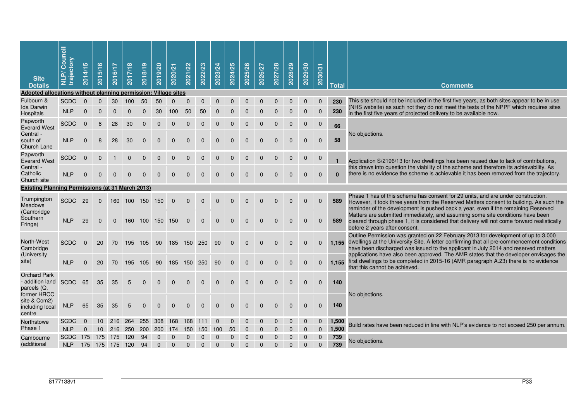| <b>Site</b><br><b>Details</b>                                          | Council<br>trajectory<br>$\tilde{\mathbf{a}}$<br>$\equiv$ | 5<br>2014/1   | ဖ<br>2015/1          | 2016/17                            | 2017/18  | 2018/19    | 2019/20    | 2020/21         | 2021/22     | 2022/23        | 2023/24       | 2024/25      | 2025/26      | 2026/27      | 2027/28      | 2028/29      | 2029/30          | 2030/31                    | <b>Total</b>   | <b>Comments</b>                                                                                                                                                                                                                                                             |
|------------------------------------------------------------------------|-----------------------------------------------------------|---------------|----------------------|------------------------------------|----------|------------|------------|-----------------|-------------|----------------|---------------|--------------|--------------|--------------|--------------|--------------|------------------|----------------------------|----------------|-----------------------------------------------------------------------------------------------------------------------------------------------------------------------------------------------------------------------------------------------------------------------------|
| <b>Adopted allocations without</b>                                     |                                                           |               |                      | planning permission: Village sites |          |            |            |                 |             |                |               |              |              |              |              |              |                  |                            |                |                                                                                                                                                                                                                                                                             |
| Fulbourn &<br><b>Ida Darwin</b><br>Hospitals                           | <b>SCDC</b><br><b>NLP</b>                                 | $\Omega$<br>0 | $\Omega$<br>$\Omega$ | 30<br>$\Omega$                     | 100<br>0 | 50<br>0    | 50<br>30   | $\Omega$<br>100 | 0<br>50     | $\Omega$<br>50 | $\Omega$<br>0 | $\mathbf 0$  | $\mathbf 0$  | $\Omega$     | $\mathbf{0}$ | $\mathbf 0$  | 0<br>$\mathbf 0$ | $\mathbf 0$<br>$\mathbf 0$ | 230<br>230     | This site should not be included in the first five years, as both sites appear to be in use<br>(NHS website) as such not they do not meet the tests of the NPPF which requires sites<br>in the first five years of projected delivery to be available now.                  |
| Papworth<br><b>Everard West</b>                                        | <b>SCDC</b>                                               | $\mathbf 0$   | 8                    | 28                                 | 30       | 0          | 0          |                 |             | 0              |               | 0            | 0            | 0            | 0            | 0            | $\mathbf 0$      | $\mathbf 0$                | 66             |                                                                                                                                                                                                                                                                             |
| Central -<br>south of<br>Church Lane                                   | <b>NLP</b>                                                | $\Omega$      | 8                    | 28                                 | 30       | $\Omega$   | 0          | 0               | 0           | 0              | $\Omega$      | 0            | $\Omega$     | $\Omega$     | $\Omega$     | $\mathbf 0$  | $\mathbf 0$      | $\mathbf 0$                | 58             | No objections.                                                                                                                                                                                                                                                              |
| Papworth<br><b>Everard West</b>                                        | <b>SCDC</b>                                               | $\Omega$      | $\Omega$             |                                    | 0        | 0          | 0          | 0               | 0           | 0              | $\Omega$      | $\mathbf 0$  | 0            | 0            | $\mathbf 0$  | $\mathbf 0$  | $\mathbf 0$      | $\mathbf 0$                | $\blacksquare$ | Application S/2196/13 for two dwellings has been reused due to lack of contributions,                                                                                                                                                                                       |
| Central -<br>Catholic<br>Church site                                   | <b>NLP</b>                                                | $\Omega$      | $\Omega$             | $\Omega$                           | $\Omega$ | $\Omega$   | $\Omega$   | $\Omega$        | 0           | $\Omega$       | $\mathbf{0}$  | $\Omega$     | $\Omega$     | $\mathbf{0}$ | $\mathbf{0}$ | $\mathbf{0}$ | $\mathbf{0}$     | $\mathbf{0}$               | $\Omega$       | this draws into question the viability of the scheme and therefore its achievability. As<br>there is no evidence the scheme is achievable it has been removed from the trajectory.                                                                                          |
| <b>Existing Planning Permissions (at 31 March 2013)</b>                |                                                           |               |                      |                                    |          |            |            |                 |             |                |               |              |              |              |              |              |                  |                            |                |                                                                                                                                                                                                                                                                             |
| Trumpington<br><b>Meadows</b><br>(Cambridge                            | <b>SCDC</b>                                               | 29            | 0                    | 160                                | 100      | 150        | 150        | $\mathbf 0$     | $\mathbf 0$ | $\mathbf{0}$   | 0             | $\mathbf 0$  | 0            | 0            | 0            | 0            | $\mathbf 0$      | $\mathbf 0$                | 589            | Phase 1 has of this scheme has consent for 29 units, and are under construction.<br>However, it took three years from the Reserved Matters consent to building. As such the<br>reminder of the development is pushed back a year, even if the remaining Reserved            |
| Southern<br>Fringe)                                                    | <b>NLP</b>                                                | 29            | $\mathbf 0$          | 0                                  | 160      | 100        | 150        | 150             | $\Omega$    | $\mathbf{0}$   | $\mathbf{0}$  | $\Omega$     | $\mathbf{0}$ | $\Omega$     | $\Omega$     | $\mathbf{0}$ | $\mathbf{0}$     | $\mathbf 0$                | 589            | Matters are submitted immediately, and assuming some site conditions have been<br>cleared through phase 1, it is considered that delivery will not come forward realistically<br>before 2 years after consent.                                                              |
| North-West<br>Cambridge                                                | <b>SCDC</b>                                               | $\mathbf{0}$  | 20                   | 70                                 | 195      | 105        | 90         | 185             | 150         | 250            | 90            | $\mathbf{0}$ | $\mathbf{0}$ | $\Omega$     | $\Omega$     | $\Omega$     | $\mathbf{0}$     | $\mathbf{0}$               |                | Outline Permission was granted on 22 February 2013 for development of up to 3,000<br>1.155 dwellings at the University Site. A letter confirming that all pre-commencement conditions<br>have been discharged was issued to the applicant in July 2014 and reserved matters |
| (University<br>site)                                                   | <b>NLP</b>                                                | $\Omega$      | 20                   | 70                                 | 195      | 105        | 90         | 185             | 150         | 250            | 90            | $\mathbf{0}$ | $\mathbf{0}$ | $\Omega$     | $\Omega$     | $\mathbf{0}$ | $\mathbf{0}$     | $\mathbf{0}$               | 1.155          | applications have also been approved. The AMR states that the developer envisages the<br>first dwellings to be completed in 2015-16 (AMR paragraph A.23) there is no evidence<br>that this cannot be achieved.                                                              |
| <b>Orchard Park</b><br>- addition land<br>parcels $(Q,$<br>former HRCC | <b>SCDC</b>                                               | 65            | 35                   | 35                                 | 5        | 0          | 0          | $\Omega$        | $\Omega$    | $\mathbf{0}$   | 0             | $\mathbf 0$  | $\mathbf 0$  | 0            | $\mathbf 0$  | $\mathbf 0$  | $\mathbf 0$      | $\mathbf 0$                | 140            |                                                                                                                                                                                                                                                                             |
| site & Com2)<br>including local<br>centre                              | <b>NLP</b>                                                | 65            | 35                   | 35                                 | 5        | 0          | $\Omega$   | $\Omega$        | $\Omega$    | $\Omega$       | $\mathbf{0}$  | $\mathbf{0}$ | $\mathbf{0}$ | $\mathbf{0}$ | $\mathbf{0}$ | $\mathbf 0$  | $\mathbf 0$      | $\mathbf 0$                | 140            | No objections.                                                                                                                                                                                                                                                              |
| Northstowe                                                             | <b>SCDC</b>                                               |               | 10                   | 216                                | 264      | 255        | 308        | 168             | 168         |                | 0             | 0            | 0            | 0            | 0            | 0            | $\mathbf 0$      | $\mathbf 0$                | 1,500          | Build rates have been reduced in line with NLP's evidence to not exceed 250 per annum.                                                                                                                                                                                      |
| Phase 1                                                                | <b>NLP</b>                                                | $\Omega$      | 10                   | 216                                | 250      | <b>200</b> | <b>200</b> | 174             | 150         | 150            | 100           | 50           | $\Omega$     | $\Omega$     | $\Omega$     | $\Omega$     | $\Omega$         | $\Omega$                   | 1,500          |                                                                                                                                                                                                                                                                             |
| Cambourne                                                              | <b>SCDC</b>                                               | 175           | 175                  | 175                                | 120      | 94         |            |                 |             |                | 0             | 0            | $\Omega$     | $\Omega$     | 0            | $\Omega$     | $\mathbf{0}$     | $\mathbf 0$                | 739            | No objections.                                                                                                                                                                                                                                                              |
| (additional                                                            | <b>NLP</b>                                                | 175           |                      | 175 175                            | 120      | 94         | $\Omega$   | $\Omega$        | $\Omega$    | $\Omega$       | $\mathbf{0}$  | $\mathbf{0}$ | $\mathbf{0}$ | $\mathbf{0}$ | $\mathbf{0}$ | $\mathbf{0}$ | $\mathbf{0}$     | $\mathbf 0$                | 739            |                                                                                                                                                                                                                                                                             |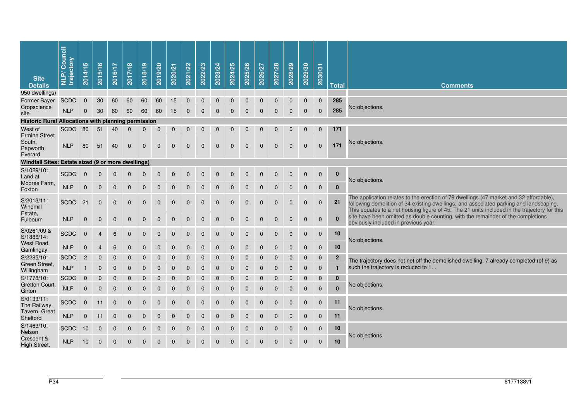| <b>Site</b><br><b>Details</b>                              | Council<br>trajectory<br>$\tilde{\mathbf{a}}$<br>글 | 5<br>2014/1    | ဖ<br>2015/1      | 2016/17      | 2017/18      | 2018/19      | 2019/20     | 2020/21     | 2021/22          | 2022/23      | 2023/24        | 2024/25      | 2025/26        | 2026/27      | 2027/28     | 2028/29     | 2029/30          | 2030/31        | <b>Total</b> | <b>Comments</b>                                                                                                                                                                                                                                                                  |
|------------------------------------------------------------|----------------------------------------------------|----------------|------------------|--------------|--------------|--------------|-------------|-------------|------------------|--------------|----------------|--------------|----------------|--------------|-------------|-------------|------------------|----------------|--------------|----------------------------------------------------------------------------------------------------------------------------------------------------------------------------------------------------------------------------------------------------------------------------------|
| 950 dwellings)                                             |                                                    |                |                  |              |              |              |             |             |                  |              |                |              |                |              |             |             |                  |                |              |                                                                                                                                                                                                                                                                                  |
| Former Bayer                                               | <b>SCDC</b>                                        | $\Omega$       | 30               | 60           | 60           | 60           | 60          | 15          | $\mathbf 0$      | $\mathbf{0}$ | $\Omega$       | $\Omega$     | $\Omega$       | $\Omega$     | $\Omega$    |             | $\Omega$         | $\mathbf{0}$   | 285          |                                                                                                                                                                                                                                                                                  |
| Cropscience<br>site                                        | <b>NLP</b>                                         | $\Omega$       | 30               | 60           | 60           | 60           | 60          | 15          | $\mathbf 0$      | $\mathbf 0$  | $\mathbf 0$    | $\mathbf{0}$ | $\Omega$       | $\Omega$     | $\Omega$    | $\Omega$    | $\mathbf 0$      | $\overline{0}$ | 285          | No objections.                                                                                                                                                                                                                                                                   |
| <b>Historic Rural Allocations with planning permission</b> |                                                    |                |                  |              |              |              |             |             |                  |              |                |              |                |              |             |             |                  |                |              |                                                                                                                                                                                                                                                                                  |
| West of                                                    | <b>SCDC</b>                                        | 80             | 51               | 40           | $\mathbf 0$  | $\mathbf 0$  | $\mathbf 0$ | $\mathbf 0$ | $\mathbf 0$      | $\mathbf 0$  | $\mathbf{0}$   | $\mathbf{0}$ | $\Omega$       | $\Omega$     | $\Omega$    | $\Omega$    | $\Omega$         | $\mathbf{0}$   | 171          |                                                                                                                                                                                                                                                                                  |
| <b>Ermine Street</b><br>South,<br>Papworth<br>Everard      | <b>NLP</b>                                         | 80             | 51               | 40           | $\mathbf 0$  | $\mathbf 0$  | $\mathbf 0$ | $\mathbf 0$ | $\mathbf{0}$     | $\mathbf{0}$ | $\mathbf{0}$   | $\mathbf{0}$ | $\Omega$       | $\mathbf{0}$ | $\Omega$    | $\Omega$    | $\Omega$         | $\Omega$       | 171          | No objections.                                                                                                                                                                                                                                                                   |
| Windfall Sites: Estate sized (9 or more dwellings)         |                                                    |                |                  |              |              |              |             |             |                  |              |                |              |                |              |             |             |                  |                |              |                                                                                                                                                                                                                                                                                  |
| S/1029/10:<br>Land at                                      | <b>SCDC</b>                                        | $\mathbf 0$    | $\mathbf{0}$     | $\mathbf 0$  | $\mathbf 0$  | $\mathbf 0$  | $\pmb{0}$   | $\mathbf 0$ | $\boldsymbol{0}$ | $\mathbf 0$  | $\mathbf 0$    | $\mathbf 0$  | $\mathbf 0$    | $\mathbf 0$  | $\mathbf 0$ | $\mathbf 0$ | $\mathbf 0$      | $\mathbf 0$    | $\bf{0}$     | No objections.                                                                                                                                                                                                                                                                   |
| Moores Farm,<br>Foxton                                     | <b>NLP</b>                                         | $\overline{0}$ | $\overline{0}$   | $\mathbf 0$  | $\mathbf 0$  | $\mathbf 0$  | $\mathbf 0$ | $\mathbf 0$ | $\mathbf{0}$     | $\mathbf{0}$ | $\Omega$       | $\Omega$     | $\Omega$       | $\Omega$     | $\Omega$    | $\Omega$    | $\Omega$         | $\Omega$       | $\bf{0}$     |                                                                                                                                                                                                                                                                                  |
| S/2013/11:<br>Windmill                                     | <b>SCDC</b>                                        | 21             | 0                | 0            | 0            | $\mathbf 0$  | $\pmb{0}$   | $\mathbf 0$ | $\pmb{0}$        | $\pmb{0}$    | $\overline{0}$ | $\mathbf 0$  | $\mathbf 0$    | $\mathbf{0}$ | $\mathbf 0$ | $\mathbf 0$ | $\mathbf{0}$     | $\mathbf 0$    | 21           | The application relates to the erection of 79 dwellings (47 market and 32 affordable),<br>following demolition of 34 existing dwellings, and associated parking and landscaping.<br>This equates to a net housing figure of 45. The 21 units included in the trajectory for this |
| Estate,<br>Fulbourn                                        | <b>NLP</b>                                         | $\mathbf{0}$   | 0                | $\mathbf 0$  | 0            | $\mathbf 0$  | $\pmb{0}$   | $\mathbf 0$ | $\pmb{0}$        | $\pmb{0}$    | $\mathbf 0$    | $\mathbf 0$  | $\mathbf 0$    | $\mathbf{0}$ | $\mathbf 0$ | $\mathbf 0$ | $\mathbf{0}$     | $\mathbf 0$    | $\mathbf{0}$ | site have been omitted as double counting, with the remainder of the completions<br>obviously included in previous year.                                                                                                                                                         |
| S/0261/09 &<br>S/1886/14:                                  | <b>SCDC</b>                                        | $\mathbf 0$    | 4                | 6            | $\mathbf 0$  | $\mathbf 0$  | $\mathbf 0$ | $\mathbf 0$ | $\mathbf 0$      | $\mathbf 0$  | $\mathbf 0$    | $\mathbf 0$  | $\overline{0}$ | $\Omega$     | $\Omega$    | $\mathbf 0$ | $\mathbf 0$      | $\pmb{0}$      | 10           | No objections.                                                                                                                                                                                                                                                                   |
| West Road,<br>Gamlingay                                    | <b>NLP</b>                                         | $\mathbf 0$    | $\overline{4}$   | 6            | $\mathbf 0$  | $\mathbf 0$  | $\mathbf 0$ | $\mathbf 0$ | $\mathbf 0$      | $\mathbf 0$  | $\mathbf 0$    | $\mathbf 0$  | $\Omega$       | $\Omega$     | $\Omega$    | $\mathbf 0$ | $\mathbf 0$      | $\pmb{0}$      | 10           |                                                                                                                                                                                                                                                                                  |
| S/2285/10:                                                 | <b>SCDC</b>                                        | $\overline{2}$ | $\mathbf{0}$     | $\mathbf{0}$ | $\mathbf{0}$ | $\mathbf{0}$ | $\mathbf 0$ | $\mathbf 0$ | $\mathbf{0}$     | $\mathbf{0}$ | $\Omega$       | $\Omega$     | $\Omega$       | $\Omega$     | $\Omega$    | $\Omega$    | $\Omega$         | $\Omega$       | $\mathbf{2}$ | The trajectory does not net off the demolished dwelling, 7 already completed (of 9) as                                                                                                                                                                                           |
| Green Street,<br>Willingham                                | <b>NLP</b>                                         |                | $\mathbf 0$      | $\mathbf 0$  | 0            | $\mathbf 0$  | $\pmb{0}$   | $\mathbf 0$ | $\mathbf 0$      | $\mathbf 0$  | $\mathbf 0$    | $\mathbf 0$  | $\overline{0}$ | $\Omega$     | $\Omega$    | $\Omega$    | $\Omega$         | $\Omega$       | $\mathbf 1$  | such the trajectory is reduced to 1                                                                                                                                                                                                                                              |
| S/1778/10:                                                 | <b>SCDC</b>                                        | $\mathbf 0$    | $\mathbf{0}$     | $\mathbf 0$  | 0            | $\mathbf 0$  | 0           | $\mathbf 0$ | $\mathbf 0$      | $\mathbf 0$  | 0              | $\Omega$     | $\Omega$       | $\Omega$     | $\Omega$    | $\Omega$    | $\Omega$         | $\mathbf 0$    | $\mathbf 0$  |                                                                                                                                                                                                                                                                                  |
| Gretton Court,<br>Girton                                   | <b>NLP</b>                                         | $\mathbf 0$    | $\mathbf 0$      | $\mathbf 0$  | 0            | $\mathbf 0$  | $\pmb{0}$   | $\mathbf 0$ | $\mathbf 0$      | $\mathbf 0$  | $\mathbf 0$    | $\mathbf 0$  | $\overline{0}$ | $\mathbf 0$  | $\mathbf 0$ | $\mathbf 0$ | $\mathbf 0$      | $\overline{0}$ | $\bf{0}$     | No objections.                                                                                                                                                                                                                                                                   |
| S/0133/11:<br>The Railway                                  | <b>SCDC</b>                                        | $\mathbf 0$    | 11               | 0            | 0            | $\mathbf 0$  | $\pmb{0}$   | $\mathbf 0$ | $\pmb{0}$        | $\pmb{0}$    | $\mathbf 0$    | $\mathbf 0$  | $\overline{0}$ | $\mathbf{0}$ | $\mathbf 0$ | $\mathbf 0$ | $\boldsymbol{0}$ | $\mathbf 0$    | 11           | No objections.                                                                                                                                                                                                                                                                   |
| Tavern, Great<br>Shelford                                  | <b>NLP</b>                                         | $\mathbf 0$    | 11               | 0            | 0            | $\mathbf 0$  | $\pmb{0}$   | $\mathbf 0$ | $\pmb{0}$        | $\pmb{0}$    | $\mathbf 0$    | $\mathbf 0$  | $\mathbf 0$    | $\mathbf{0}$ | $\mathbf 0$ | $\Omega$    | $\mathbf 0$      | $\mathbf 0$    | 11           |                                                                                                                                                                                                                                                                                  |
| S/1463/10:<br>Nelson                                       | <b>SCDC</b>                                        | 10             | $\boldsymbol{0}$ | $\mathbf 0$  | 0            | $\mathbf 0$  | $\pmb{0}$   | $\mathbf 0$ | $\boldsymbol{0}$ | $\mathbf 0$  | $\mathbf 0$    | $\mathbf 0$  | $\mathbf 0$    | $\mathbf{0}$ | $\mathbf 0$ | $\mathbf 0$ | $\mathbf 0$      | $\mathbf 0$    | 10           |                                                                                                                                                                                                                                                                                  |
| Crescent &<br><b>High Street,</b>                          | <b>NLP</b>                                         | 10             | $\boldsymbol{0}$ | 0            | 0            | $\mathbf 0$  | $\pmb{0}$   | $\mathbf 0$ | $\pmb{0}$        | $\mathbf 0$  | $\mathbf 0$    | $\mathbf 0$  | $\overline{0}$ | $\mathbf{0}$ | $\mathbf 0$ | $\mathbf 0$ | $\mathbf 0$      | $\mathbf 0$    | 10           | No objections.                                                                                                                                                                                                                                                                   |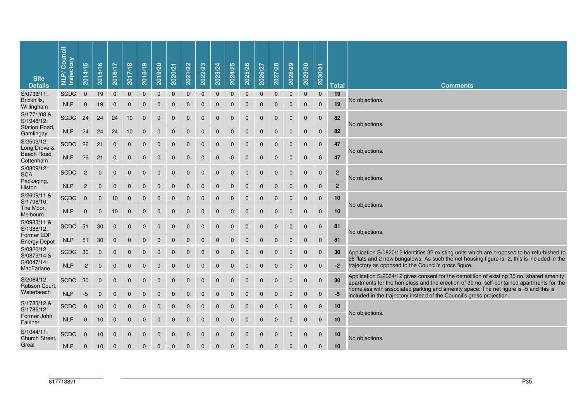| <b>Site</b><br><b>Details</b>                     | <b>NLP/Council</b><br>trajectory | 5<br>2014/1    | 2015/16      | 2016/17        | 2017/18      | 2018/19      | 2019/20        | 2020/21      | 2021/22      | 2022/23      | 2023/24      | 2024/25      | 2025/26      | 2026/27      | 2027/28        | 2028/29      | 2029/30      | 2030/31        | <b>Total</b>   | <b>Comments</b>                                                                                                                                                                           |
|---------------------------------------------------|----------------------------------|----------------|--------------|----------------|--------------|--------------|----------------|--------------|--------------|--------------|--------------|--------------|--------------|--------------|----------------|--------------|--------------|----------------|----------------|-------------------------------------------------------------------------------------------------------------------------------------------------------------------------------------------|
| S/0733/11:                                        | <b>SCDC</b>                      | $\mathbf{0}$   | 19           | $\mathbf{0}$   | $\mathbf{0}$ | $\mathbf{0}$ | $\mathbf{0}$   | $\mathbf{0}$ | $\mathbf{0}$ | $\mathbf{0}$ | $\mathbf{0}$ | $\mathbf{0}$ | $\mathbf{0}$ | $\mathbf{0}$ | $\mathbf{0}$   | $\mathbf{0}$ | $\mathbf{0}$ | $\mathbf{0}$   | 19             |                                                                                                                                                                                           |
| Brickhills,<br>Willingham                         | <b>NLP</b>                       | $\mathbf 0$    | 19           | $\mathbf 0$    | $\mathbf 0$  | $\mathbf 0$  | $\mathbf 0$    | $\mathbf 0$  | $\mathbf{0}$ | $\mathbf{0}$ | $\Omega$     | $\Omega$     | $\Omega$     | $\Omega$     | $\Omega$       | $\Omega$     | $\mathbf{0}$ | $\Omega$       | 19             | No objections.                                                                                                                                                                            |
| S/1771/08 &<br>S/1948/12:<br><b>Station Road.</b> | <b>SCDC</b>                      | 24             | 24           | 24             | 10           | $\pmb{0}$    | $\pmb{0}$      | $\pmb{0}$    | $\mathbf 0$  | $\mathbf 0$  | $\mathbf{0}$ | $\mathbf 0$  | $\Omega$     | $\Omega$     | $\overline{0}$ | $\Omega$     | $\mathbf 0$  | $\overline{0}$ | 82             | No objections.                                                                                                                                                                            |
| Gamlingay                                         | <b>NLP</b>                       | 24             | 24           | 24             | 10           | $\mathbf 0$  | $\mathbf 0$    | $\mathbf 0$  | $\Omega$     | $\Omega$     | $\Omega$     | $\Omega$     | $\Omega$     | $\Omega$     | $\Omega$       | $\Omega$     | $\Omega$     | $\mathbf 0$    | 82             |                                                                                                                                                                                           |
| S/2509/12:<br>Long Drove &                        | <b>SCDC</b>                      | 26             | 21           | $\mathbf 0$    | $\mathbf 0$  | $\Omega$     | $\mathbf 0$    | $\Omega$     | $\Omega$     | $\Omega$     | $\Omega$     | $\Omega$     | $\Omega$     | $\Omega$     | $\Omega$       | $\Omega$     | $\mathbf{0}$ | $\overline{0}$ | 47             | No objections.                                                                                                                                                                            |
| Beech Road,<br>Cottenham                          | <b>NLP</b>                       | 26             | 21           | $\pmb{0}$      | $\mathbf 0$  | $\mathbf 0$  | $\mathbf 0$    | $\mathbf 0$  | $\mathbf 0$  | $\mathbf{0}$ | $\mathbf{0}$ | $\mathbf 0$  | $\Omega$     | $\mathbf{0}$ | $\mathbf 0$    | $\mathbf 0$  | $\mathbf 0$  | $\mathbf 0$    | 47             |                                                                                                                                                                                           |
| S/0809/12:<br><b>SCA</b><br>Packaging,            | <b>SCDC</b>                      | $\overline{c}$ | $\mathbf{0}$ | $\mathbf{0}$   | $\mathbf{0}$ | $\mathbf{0}$ | $\mathbf{0}$   | $\mathbf{0}$ | $\Omega$     | $\Omega$     | $\Omega$     | $\Omega$     | $\Omega$     | $\Omega$     | $\Omega$       | $\Omega$     | $\Omega$     | $\mathbf 0$    | $\overline{2}$ | No objections.                                                                                                                                                                            |
| Histon                                            | <b>NLP</b>                       | $\mathbf 2$    | $\pmb{0}$    | $\mathbf 0$    | $\mathbf 0$  | $\mathbf 0$  | $\overline{0}$ | $\mathbf 0$  | $\Omega$     | $\Omega$     | $\Omega$     | $\Omega$     | $\Omega$     | $\Omega$     | $\Omega$       | $\Omega$     | $\Omega$     | $\Omega$       | $\overline{2}$ |                                                                                                                                                                                           |
| S/2609/11 &<br>S/1798/10:<br>The Moor,            | <b>SCDC</b>                      | 0              | $\mathbf 0$  | 10             | $\mathbf 0$  | $\mathbf 0$  | $\mathbf 0$    | $\mathbf 0$  | $\mathbf{0}$ | $\mathbf{0}$ | $\mathbf{0}$ | $\mathbf 0$  | $\mathbf 0$  | $\mathbf{0}$ | $\mathbf 0$    | $\mathbf 0$  | $\mathbf{0}$ | $\mathbf 0$    | 10             | No objections.                                                                                                                                                                            |
| Melbourn                                          | <b>NLP</b>                       | $\pmb{0}$      | $\pmb{0}$    | 10             | $\pmb{0}$    | $\mathbf{0}$ | 0              | $\mathbf{0}$ | $\mathbf{0}$ | $\mathbf{0}$ | $\mathbf{0}$ | $\mathbf 0$  | $\Omega$     | $\Omega$     | $\Omega$       |              | $\Omega$     | $\mathbf 0$    | 10             |                                                                                                                                                                                           |
| S/0983/11 &<br>S/1388/12:<br>Former EDF           | <b>SCDC</b>                      | 51             | 30           | $\mathbf 0$    | $\mathbf 0$  | $\mathbf 0$  | $\mathbf 0$    | $\mathbf 0$  | $\Omega$     | $\Omega$     | $\Omega$     | $\Omega$     | $\Omega$     | $\Omega$     | $\Omega$       | $\Omega$     | $\Omega$     | $\mathbf 0$    | 81             | No objections.                                                                                                                                                                            |
| <b>Energy Depot</b>                               | <b>NLP</b>                       | 51             | 30           | $\mathbf 0$    | $\mathbf 0$  | $\Omega$     | $\Omega$       | $\Omega$     | $\Omega$     | $\Omega$     | $\Omega$     | $\Omega$     |              | $\Omega$     | $\Omega$       | $\Omega$     | $\Omega$     | $\Omega$       | 81             |                                                                                                                                                                                           |
| S/0820/12,<br>S/0879/14 &                         | <b>SCDC</b>                      | 30             | $\mathbf 0$  | $\Omega$       | $\mathbf{0}$ | $\Omega$     | $\Omega$       | $\Omega$     | $\Omega$     | $\Omega$     | $\Omega$     | $\Omega$     | $\Omega$     | $\Omega$     | $\Omega$       | $\Omega$     | $\Omega$     | $\mathbf 0$    | 30             | Application S/0820/12 identifies 32 existing units which are proposed to be refurbished to<br>28 flats and 2 new bungalows. As such the net housing figure is -2, this is included in the |
| S/0047/14:<br>MacFarlane                          | <b>NLP</b>                       | $-2$           | $\mathbf 0$  | $\mathbf 0$    | $\mathbf 0$  | $\Omega$     | $\Omega$       | $\Omega$     | $\Omega$     | $\Omega$     | $\Omega$     | $\Omega$     | $\Omega$     | $\Omega$     | $\Omega$       | $\Omega$     | $\Omega$     | $\Omega$       | $-2$           | trajectory as opposed to the Council's gross figure.                                                                                                                                      |
| S/2064/12:<br>Robson Court,                       | <b>SCDC</b>                      | 30             | $\pmb{0}$    | $\overline{0}$ | $\mathbf 0$  | $\mathbf 0$  | $\overline{0}$ | $\mathbf 0$  | $\Omega$     | $\Omega$     | $\mathbf 0$  | $\mathbf 0$  | $\mathbf 0$  | $\mathbf 0$  | $\mathbf 0$    | $\Omega$     | $\mathbf 0$  | $\mathbf 0$    | 30             | Application S/2064/12 gives consent for the demolition of existing 35 no. shared amenity<br>apartments for the homeless and the erection of 30 no. self-contained apartments for the      |
| Waterbeach                                        | <b>NLP</b>                       | $-5$           | $\pmb{0}$    | $\mathbf{0}$   | $\mathbf 0$  | $\mathbf 0$  | $\overline{0}$ | $\mathbf{0}$ | $\mathbf{0}$ | $\Omega$     | $\Omega$     | $\Omega$     | $\Omega$     | $\Omega$     | $\Omega$       | $\Omega$     | $\Omega$     | $\mathbf 0$    | -5             | homeless with associated parking and amenity space. The net figure is -5 and this is<br>included in the trajectory instead of the Council's gross projection.                             |
| S/1783/12 &<br>S/1786/12:                         | <b>SCDC</b>                      | $\mathbf 0$    | 10           | $\mathbf 0$    | $\mathbf 0$  | $\mathbf 0$  | $\mathbf 0$    | $\Omega$     | $\Omega$     | $\Omega$     | $\Omega$     | $\Omega$     | $\Omega$     | $\Omega$     | $\Omega$       | $\Omega$     | $\Omega$     | $\mathbf 0$    | 10             | No objections.                                                                                                                                                                            |
| Former John<br>Falkner                            | <b>NLP</b>                       | $\pmb{0}$      | 10           | $\mathbf 0$    | $\mathbf 0$  | $\mathbf 0$  | $\overline{0}$ | $\mathbf 0$  | $\mathbf 0$  | $\mathbf{0}$ | $\Omega$     | $\Omega$     | $\Omega$     | $\Omega$     | $\Omega$       | $\Omega$     | $\Omega$     | $\mathbf 0$    | 10             |                                                                                                                                                                                           |
| S/1044/11:<br>Church Street.                      | <b>SCDC</b>                      | $\Omega$       | 10           | $\mathbf{0}$   | $\mathbf{0}$ | $\mathbf{0}$ | $\mathbf{0}$   | $\mathbf{0}$ | $\Omega$     | $\Omega$     | $\Omega$     | $\Omega$     | $\Omega$     | $\Omega$     | $\Omega$       | $\Omega$     | $\Omega$     | $\mathbf 0$    | 10             | No objections.                                                                                                                                                                            |
| Great                                             | <b>NLP</b>                       | $\mathbf{0}$   | 10           | $\Omega$       | $\Omega$     | $\Omega$     | $\Omega$       | $\Omega$     | $\Omega$     | $\Omega$     | $\Omega$     | $\Omega$     |              |              |                |              | $\Omega$     | $\Omega$       | 10             |                                                                                                                                                                                           |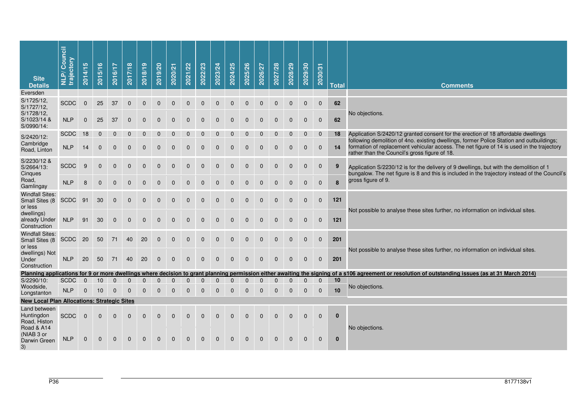| <b>Site</b><br><b>Details</b>                       | NLP/Council<br>trajectory | 5<br>2014/1 | 2015/16      | 2016/17      | 2017/18      | 2018/19      | 2019/20      | 2020/21      | 2021/22      | 2022/23      | 2023/24      | 2024/25      | 2025/26      | 2026/27      | 2027/28      | 2028/29      | 2029/30      | 2030/31      | <b>Total</b> | <b>Comments</b>                                                                                                                                                                                                                        |
|-----------------------------------------------------|---------------------------|-------------|--------------|--------------|--------------|--------------|--------------|--------------|--------------|--------------|--------------|--------------|--------------|--------------|--------------|--------------|--------------|--------------|--------------|----------------------------------------------------------------------------------------------------------------------------------------------------------------------------------------------------------------------------------------|
| Eversden                                            |                           |             |              |              |              |              |              |              |              |              |              |              |              |              |              |              |              |              |              |                                                                                                                                                                                                                                        |
| S/1725/12,<br>S/1727/12,<br>S/1728/12,              | <b>SCDC</b>               | $\mathbf 0$ | 25           | 37           | $\mathbf 0$  | $\mathbf 0$  | 0            | $\mathbf{0}$ | $\mathbf 0$  | 0            | $\mathbf 0$  | $\mathbf 0$  | $\mathbf 0$  | $\mathbf 0$  | $\mathbf 0$  | $\mathbf 0$  | $\mathbf 0$  | $\mathbf 0$  | 62           | No objections.                                                                                                                                                                                                                         |
| S/1023/14 &<br>S/0990/14:                           | <b>NLP</b>                | $\mathbf 0$ | 25           | 37           | 0            | 0            | 0            | $\mathbf{0}$ | 0            | 0            | 0            | 0            | 0            | 0            | 0            | 0            | $\mathbf 0$  | $\mathbf 0$  | 62           |                                                                                                                                                                                                                                        |
| S/2420/12:                                          | <b>SCDC</b>               | 18          | 0            | $\mathbf 0$  | 0            | $\mathbf{0}$ | 0            | 0            | 0            | 0            | 0            | 0            | 0            | $\mathbf 0$  | $\mathbf 0$  | 0            | $\mathbf 0$  | $\mathbf 0$  | 18           | Application S/2420/12 granted consent for the erection of 18 affordable dwellings                                                                                                                                                      |
| Cambridge<br>Road, Linton                           | <b>NLP</b>                | 14          | $\mathbf 0$  | $\mathbf 0$  | $\mathbf{0}$ | $\mathbf 0$  | 0            | $\mathbf{0}$ | $\mathbf 0$  | 0            | $\mathbf 0$  | $\mathbf 0$  | $\mathbf 0$  | $\mathbf 0$  | $\mathbf 0$  | $\mathbf 0$  | $\mathbf 0$  | $\mathbf 0$  | 14           | following demolition of 4no. existing dwellings, former Police Station and outbuildings;<br>formation of replacement vehicular access. The net figure of 14 is used in the trajectory<br>rather than the Council's gross figure of 18. |
| S/2230/12 &<br>S/2664/13:<br>Cinques                | <b>SCDC</b>               | 9           | $\mathbf{0}$ | $\Omega$     | $\mathbf{0}$ | $\Omega$     | 0            | $\mathbf{0}$ | $\mathbf 0$  | 0            | $\mathbf 0$  | $\mathbf 0$  | $\mathbf 0$  | $\mathbf 0$  | $\mathbf 0$  | $\mathbf 0$  | $\mathbf 0$  | $\mathbf 0$  | 9            | Application S/2230/12 is for the delivery of 9 dwellings, but with the demolition of 1<br>bungalow. The net figure is 8 and this is included in the trajectory instead of the Council's                                                |
| Road,<br>Gamlingay                                  | <b>NLP</b>                | 8           | $\Omega$     | $\Omega$     | $\Omega$     | $\mathbf{0}$ | $\Omega$     | $\Omega$     | 0            | $\Omega$     | $\Omega$     | $\mathbf{0}$ | $\mathbf{0}$ | $\mathbf{0}$ | $\mathbf{0}$ | $\mathbf{0}$ | $\mathbf{0}$ | $\mathbf{0}$ | 8            | gross figure of 9.                                                                                                                                                                                                                     |
| <b>Windfall Sites:</b><br>Small Sites (8<br>or less | <b>SCDC</b>               | 91          | 30           | $\mathbf 0$  | $\mathbf{0}$ | 0            | 0            | $\mathbf{0}$ | 0            | 0            | $\mathbf 0$  | $\mathbf 0$  | $\mathbf 0$  | $\mathbf 0$  | $\mathbf 0$  | $\mathbf 0$  | $\mathbf 0$  | $\mathbf 0$  | 121          | Not possible to analyse these sites further, no information on individual sites.                                                                                                                                                       |
| dwellings)<br>already Under<br>Construction         | <b>NLP</b>                | 91          | 30           | $\mathbf 0$  | $\mathbf 0$  | $\mathbf 0$  | 0            | $\mathbf{0}$ | 0            | 0            | $\mathbf 0$  | 0            | 0            | $\mathbf 0$  | 0            | 0            | $\mathbf 0$  | $\mathbf 0$  | 121          |                                                                                                                                                                                                                                        |
| <b>Windfall Sites:</b><br>Small Sites (8<br>or less | <b>SCDC</b>               | 20          | 50           | 71           | 40           | 20           | 0            | $\mathbf{0}$ | $\mathbf 0$  | 0            | $\mathbf 0$  | $\mathbf 0$  | $\mathbf 0$  | $\mathbf 0$  | $\mathbf 0$  | $\mathbf 0$  | $\mathbf 0$  | $\mathbf 0$  | 201          | Not possible to analyse these sites further, no information on individual sites.                                                                                                                                                       |
| dwellings) Not<br>Under<br>Construction             | <b>NLP</b>                | 20          | 50           | 71           | 40           | 20           | $\Omega$     | $\Omega$     | $\Omega$     | $\Omega$     | $\Omega$     | $\Omega$     | $\Omega$     | $\Omega$     | $\Omega$     | $\Omega$     | $\mathbf{0}$ | $\mathbf{0}$ | 201          |                                                                                                                                                                                                                                        |
|                                                     |                           |             |              |              |              |              |              |              |              |              |              |              |              |              |              |              |              |              |              | Planning applications for 9 or more dwellings where decision to grant planning permission either awaiting the signing of a s106 agreement or resolution of outstanding issues (as at 31 March 2014)                                    |
| S/2290/10:                                          | <b>SCDC</b>               | $\Omega$    | 10           | $\Omega$     | $\Omega$     | 0            | 0            | 0            | 0            | 0            | 0            | 0            | 0            | 0            | U            | 0            | $\mathbf{0}$ | $\mathbf{0}$ | 10           |                                                                                                                                                                                                                                        |
| Woodside,<br>Longstanton                            | <b>NLP</b>                | $\mathbf 0$ | 10           | $\mathbf{0}$ | $\Omega$     | $\mathbf 0$  | 0            | $\mathbf 0$  | $\mathbf 0$  | 0            | $\mathbf 0$  | $\mathbf 0$  | $\mathbf 0$  | $\mathbf 0$  | $\mathbf 0$  | $\mathbf 0$  | $\mathbf 0$  | $\mathbf 0$  | 10           | No objections.                                                                                                                                                                                                                         |
| <b>New Local Plan Allocations: Strategic Sites</b>  |                           |             |              |              |              |              |              |              |              |              |              |              |              |              |              |              |              |              |              |                                                                                                                                                                                                                                        |
| Land between<br>Huntingdon<br>Road, Histon          | <b>SCDC</b>               | $\mathbf 0$ | $\mathbf{0}$ | $\mathbf{0}$ | $\mathbf 0$  | $\mathbf 0$  | 0            | $\mathbf 0$  | $\mathbf 0$  | 0            | $\mathbf 0$  | $\mathbf 0$  | $\mathbf 0$  | $\mathbf 0$  | $\mathbf 0$  | $\mathbf 0$  | $\mathbf 0$  | $\mathbf 0$  | $\mathbf 0$  |                                                                                                                                                                                                                                        |
| Road & A14<br>(NIAB 3 or<br>Darwin Green<br>3)      | <b>NLP</b>                | $\Omega$    | $\Omega$     | $\Omega$     | $\Omega$     | $\mathbf{0}$ | $\mathbf{0}$ | $\Omega$     | $\mathbf{0}$ | $\mathbf{0}$ | $\mathbf{0}$ | $\mathbf{0}$ | $\mathbf{0}$ | $\mathbf{0}$ | $\mathbf{0}$ | $\mathbf{0}$ | $\mathbf{0}$ | $\mathbf{0}$ | $\bf{0}$     | No objections.                                                                                                                                                                                                                         |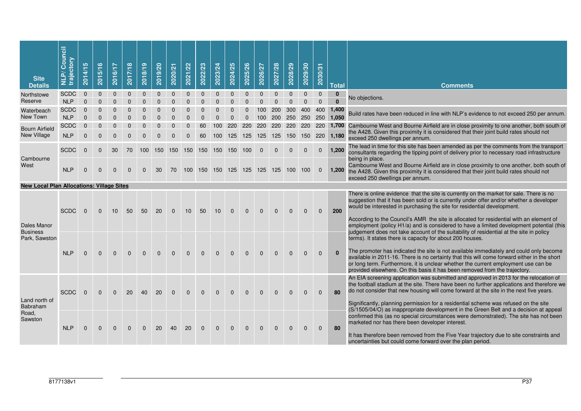| <b>Site</b><br><b>Details</b>                    | Council<br>trajectory<br>NLP/ | 5<br>2014/1  | 2015/16              | 2016/17              | 2017/18              | 2018/19          | 2019/20      | 2020/21  | 2021/22                 | 2022/23  | 2023/24      | 2024/25      | 2025/26      | 2026/27  | 2027/28      | 2028/29    | 2029/30      | 2030/31      | <b>Total</b> | <b>Comments</b>                                                                                                                                                                                                                                                                                                                                                                                                                                      |
|--------------------------------------------------|-------------------------------|--------------|----------------------|----------------------|----------------------|------------------|--------------|----------|-------------------------|----------|--------------|--------------|--------------|----------|--------------|------------|--------------|--------------|--------------|------------------------------------------------------------------------------------------------------------------------------------------------------------------------------------------------------------------------------------------------------------------------------------------------------------------------------------------------------------------------------------------------------------------------------------------------------|
| Northstowe                                       | <b>SCDC</b>                   | $\Omega$     | $\mathbf{0}$         | $\Omega$             | $\Omega$             | $\Omega$         | $\mathbf{0}$ | $\Omega$ | $\mathbf{0}$            | $\Omega$ | $\mathbf{0}$ | $\mathbf{0}$ | $\mathbf{0}$ | $\Omega$ | $\mathbf{0}$ | $\Omega$   | $\mathbf{0}$ | $\mathbf{0}$ | $\mathbf{0}$ | No objections.                                                                                                                                                                                                                                                                                                                                                                                                                                       |
| Reserve                                          | <b>NLP</b>                    | $\Omega$     | $\Omega$             | $\Omega$             | $\Omega$             | $\Omega$         | $\Omega$     | $\Omega$ | $\Omega$                | $\Omega$ | $\Omega$     | $\Omega$     | $\Omega$     | $\Omega$ | $\Omega$     | $\Omega$   | $\Omega$     | $\Omega$     | $\Omega$     |                                                                                                                                                                                                                                                                                                                                                                                                                                                      |
| Waterbeach                                       | <b>SCDC</b>                   | $\Omega$     | $\Omega$             | $\Omega$             | $\Omega$             | $\Omega$         | $\Omega$     | $\Omega$ | $\Omega$                | $\Omega$ | $\Omega$     | $\Omega$     |              | 100      | 200          | 300        | 400          | 400          | 1,400        | Build rates have been reduced in line with NLP's evidence to not exceed 250 per annum.                                                                                                                                                                                                                                                                                                                                                               |
| New Town                                         | <b>NLP</b>                    | $\Omega$     | $\Omega$             | $\Omega$             | $\Omega$             |                  |              | $\Omega$ | $\Omega$                | $\Omega$ |              |              |              |          | 200          | 250        | 250          | 250          | 1.050        |                                                                                                                                                                                                                                                                                                                                                                                                                                                      |
| <b>Bourn Airfield</b><br>New Village             | <b>SCDC</b><br><b>NLP</b>     | $\Omega$     | $\Omega$<br>$\Omega$ | $\Omega$<br>$\Omega$ | $\Omega$<br>$\Omega$ |                  |              | $\Omega$ | $\Omega$                | 60       | 100          | 220          | 220          | 220      | 220          | <b>220</b> |              | 220 220      |              | 1,700 Cambourne West and Bourne Airfield are in close proximity to one another, both south of<br>the A428. Given this proximity it is considered that their joint build rates should not                                                                                                                                                                                                                                                             |
|                                                  |                               | $\mathbf{0}$ |                      |                      |                      | $\Omega$         | $\Omega$     | $\Omega$ | $\Omega$                | 60       | 100          | 125          | 125          | 125      | 125          |            | 150 150      | 220          | 1,180        | exceed 250 dwellings per annum.                                                                                                                                                                                                                                                                                                                                                                                                                      |
|                                                  | <b>SCDC</b>                   | $\mathbf{0}$ | $\mathbf{0}$         | 30                   | 70                   | 100 <sub>1</sub> |              |          | 150 150 150 150 150 150 |          |              |              | 100          | $\Omega$ |              |            | $\Omega$     | $\mathbf{0}$ | 1,200        | The lead in time for this site has been amended as per the comments from the transport<br>consultants regarding the tipping point of delivery prior to necessary road infrastructure                                                                                                                                                                                                                                                                 |
| Cambourne<br>West                                | <b>NLP</b>                    | $\Omega$     | $\Omega$             | $\Omega$             | $\Omega$             | $\Omega$         | 30           | 70       | 100                     | 150      | 150 125      |              | 125          | 125      | 125          | 100        | 100          | $\mathbf{0}$ | 1,200        | being in place.<br>Cambourne West and Bourne Airfield are in close proximity to one another, both south of<br>the A428. Given this proximity it is considered that their joint build rates should not<br>exceed 250 dwellings per annum.                                                                                                                                                                                                             |
| <b>New Local Plan Allocations: Village Sites</b> |                               |              |                      |                      |                      |                  |              |          |                         |          |              |              |              |          |              |            |              |              |              |                                                                                                                                                                                                                                                                                                                                                                                                                                                      |
| <b>Dales Manor</b>                               | <b>SCDC</b>                   | $\mathbf{0}$ | $\Omega$             | 10                   | 50                   | 50               | 20           | $\Omega$ | 10                      | 50       | 10           | $\Omega$     | $\Omega$     | $\Omega$ | $\Omega$     | $\Omega$   | $\Omega$     | $\Omega$     | 200          | There is online evidence that the site is currently on the market for sale. There is no<br>suggestion that it has been sold or is currently under offer and/or whether a developer<br>would be interested in purchasing the site for residential development.<br>According to the Council's AMR the site is allocated for residential with an element of<br>employment (policy H1/a) and is considered to have a limited development potential (this |
| <b>Business</b><br>Park, Sawston                 |                               |              |                      |                      |                      |                  |              |          |                         |          |              |              |              |          |              |            |              |              |              | judgement does not take account of the suitability of residential at the site in policy<br>terms). It states there is capacity for about 200 houses.                                                                                                                                                                                                                                                                                                 |
|                                                  | <b>NLP</b>                    | $\Omega$     | $\Omega$             | $\Omega$             | $\Omega$             | $\Omega$         | $\Omega$     | $\Omega$ | $\Omega$                | $\Omega$ | $\Omega$     | $\Omega$     | $\Omega$     | $\Omega$ | $\Omega$     | $\Omega$   | $\Omega$     | $\Omega$     | $\mathbf{0}$ | The promoter has indicated the site is not available immediately and could only become<br>available in 2011-16. There is no certainty that this will come forward either in the short<br>or long term. Furthermore, it is unclear whether the current employment use can be<br>provided elsewhere. On this basis it has been removed from the trajectory.                                                                                            |
| Land north of                                    | <b>SCDC</b>                   | $\Omega$     | $\Omega$             | $\Omega$             | 20                   | 40               | 20           | $\Omega$ | $\Omega$                | $\Omega$ | $\Omega$     | $\Omega$     | $\Omega$     | $\Omega$ | $\Omega$     | $\Omega$   | $\Omega$     | $\Omega$     | 80           | An EIA screening application was submitted and approved in 2013 for the relocation of<br>the football stadium at the site. There have been no further applications and therefore we<br>do not consider that new housing will come forward at the site in the next five years.                                                                                                                                                                        |
| Babraham                                         |                               |              |                      |                      |                      |                  |              |          |                         |          |              |              |              |          |              |            |              |              |              | Significantly, planning permission for a residential scheme was refused on the site                                                                                                                                                                                                                                                                                                                                                                  |
| Road,<br>Sawston                                 | <b>NLP</b>                    | $\mathbf{0}$ | $\Omega$             | $\Omega$             | $\Omega$             | $\Omega$         | 20           | 40       | 20                      | $\Omega$ | $\Omega$     | $\Omega$     | $\Omega$     | $\Omega$ | $\Omega$     | $\Omega$   | $\Omega$     | $\mathbf{0}$ | 80           | (S/1505/04/O) as inappropriate development in the Green Belt and a decision at appeal<br>confirmed this (as no special circumstances were demonstrated). The site has not been<br>marketed nor has there been developer interest.<br>It has therefore been removed from the Five Year trajectory due to site constraints and<br>uncertainties but could come forward over the plan period.                                                           |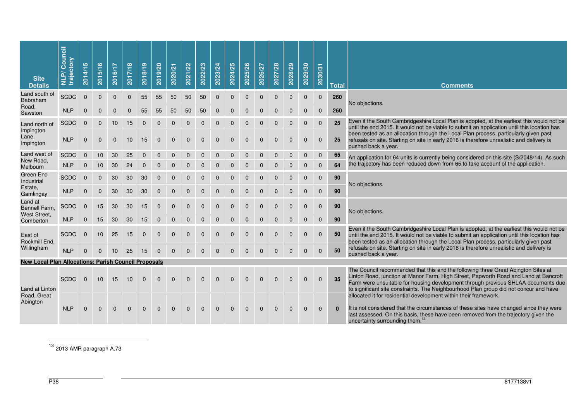| <b>Site</b><br><b>Details</b>                               | Council<br>trajectory<br>NLP/ | <b>SC</b><br>2014/1 | 2015/16      | 2016/17      | 2017/18      | 2018/19      | 2019/20      | 2020/21      | 2021/22      | 2022/23      | 2023/24      | 2024/25        | 2025/26        | 2026/27      | 2027/28      | 2028/29      | 2029/30      | 2030/31      | <b>Total</b> | <b>Comments</b>                                                                                                                                                                                                                                                                                                                                                                                                             |
|-------------------------------------------------------------|-------------------------------|---------------------|--------------|--------------|--------------|--------------|--------------|--------------|--------------|--------------|--------------|----------------|----------------|--------------|--------------|--------------|--------------|--------------|--------------|-----------------------------------------------------------------------------------------------------------------------------------------------------------------------------------------------------------------------------------------------------------------------------------------------------------------------------------------------------------------------------------------------------------------------------|
| Land south of<br>Babraham                                   | <b>SCDC</b>                   | $\mathbf{0}$        | $\mathbf{0}$ | $\mathbf{0}$ | $\mathbf{0}$ | 55           | 55           | 50           | 50           | 50           | $\mathbf{0}$ | $\Omega$       | $\Omega$       | $\Omega$     | $\Omega$     | $\Omega$     | $\mathbf{0}$ | $\mathbf 0$  | 260          | No objections.                                                                                                                                                                                                                                                                                                                                                                                                              |
| Road,<br>Sawston                                            | <b>NLP</b>                    | $\mathbf{0}$        | $\Omega$     | $\Omega$     | $\Omega$     | 55           | 55           | 50           | 50           | 50           | $\Omega$     | $\Omega$       | $\Omega$       | $\Omega$     | $\Omega$     | $\Omega$     | $\mathbf{0}$ | $\mathbf{0}$ | 260          |                                                                                                                                                                                                                                                                                                                                                                                                                             |
| Land north of<br>Impington                                  | <b>SCDC</b>                   | $\mathbf{0}$        | $\mathbf{0}$ | 10           | 15           | $\mathbf{0}$ | $\mathbf{0}$ | $\mathbf{0}$ | $\Omega$     | $\Omega$     | $\Omega$     | $\Omega$       | $\Omega$       | $\Omega$     | $\mathbf{0}$ | $\mathbf{0}$ | $\mathbf{0}$ | $\mathbf{0}$ | 25           | Even if the South Cambridgeshire Local Plan is adopted, at the earliest this would not be<br>until the end 2015. It would not be viable to submit an application until this location has                                                                                                                                                                                                                                    |
| Lane,<br>Impington                                          | <b>NLP</b>                    | $\mathbf{0}$        | $\mathbf{0}$ | $\mathbf{0}$ | 10           | 15           | $\mathbf{0}$ | $\mathbf{0}$ | $\mathbf{0}$ | $\mathbf{0}$ | $\mathbf{0}$ | $\mathbf{0}$   | $\mathbf{0}$   | $\mathbf{0}$ | $\mathbf{0}$ | $\mathbf{0}$ | $\mathbf 0$  | $\mathbf 0$  | 25           | been tested as an allocation through the Local Plan process, particularly given past<br>refusals on site. Starting on site in early 2016 is therefore unrealistic and delivery is<br>pushed back a year.                                                                                                                                                                                                                    |
| Land west of<br>New Road,                                   | <b>SCDC</b>                   | $\mathbf{0}$        | 10           | 30           | 25           | $\mathbf{0}$ | $\mathbf{0}$ | 0            | 0            | $\mathbf{0}$ | $\mathbf{0}$ | $\overline{0}$ | $\overline{0}$ | $\mathbf 0$  | $\mathbf 0$  | $\mathbf 0$  | $\mathbf 0$  | $\pmb{0}$    | 65           | An application for 64 units is currently being considered on this site (S/2048/14). As such                                                                                                                                                                                                                                                                                                                                 |
| Melbourn                                                    | <b>NLP</b>                    | $\mathbf{0}$        | 10           | 30           | 24           | $\mathbf{0}$ | $\mathbf{0}$ | $\mathbf{0}$ | $\mathbf{0}$ | $\mathbf{0}$ | $\Omega$     | $\mathbf{0}$   | $\Omega$       | $\Omega$     | $\mathbf{0}$ | $\mathbf{0}$ | $\mathbf{0}$ | $\mathbf{0}$ | 64           | the trajectory has been reduced down from 65 to take account of the application.                                                                                                                                                                                                                                                                                                                                            |
| <b>Green End</b><br>Industrial                              | <b>SCDC</b>                   | $\mathbf{0}$        | $\mathbf{0}$ | 30           | 30           | 30           | $\mathbf{0}$ | $\Omega$     | $\Omega$     | $\Omega$     | $\Omega$     | $\Omega$       | $\Omega$       | $\Omega$     | $\Omega$     | $\Omega$     | $\mathbf{0}$ | $\mathbf 0$  | 90           | No objections.                                                                                                                                                                                                                                                                                                                                                                                                              |
| Estate,<br>Gamlingay                                        | <b>NLP</b>                    | $\mathbf{0}$        | $\Omega$     | 30           | 30           | 30           | $\mathbf{0}$ | $\Omega$     | $\Omega$     | $\Omega$     | $\Omega$     | $\Omega$       |                |              |              |              | $\Omega$     | $\mathbf 0$  | 90           |                                                                                                                                                                                                                                                                                                                                                                                                                             |
| Land at<br>Bennell Farm,<br>West Street.                    | <b>SCDC</b>                   | $\Omega$            | 15           | 30           | 30           | 15           | $\mathbf{0}$ | $\mathbf{0}$ | $\mathbf{0}$ | $\Omega$     | $\Omega$     | $\Omega$       | $\Omega$       | $\Omega$     | $\Omega$     | $\Omega$     | $\Omega$     | $\mathbf{0}$ | 90           | No objections.                                                                                                                                                                                                                                                                                                                                                                                                              |
| Comberton                                                   | <b>NLP</b>                    | $\mathbf 0$         | 15           | 30           | 30           | 15           | $\mathbf 0$  | $\mathbf 0$  | $\mathbf 0$  | $\mathbf{0}$ | $\mathbf{0}$ | $\mathbf{0}$   | $\Omega$       | $\Omega$     | $\mathbf{0}$ | $\mathbf{0}$ | $\mathbf 0$  | $\mathbf 0$  | 90           |                                                                                                                                                                                                                                                                                                                                                                                                                             |
| East of<br>Rockmill End,                                    | <b>SCDC</b>                   | $\Omega$            | 10           | 25           | 15           | $\mathbf{0}$ | $\mathbf{0}$ | $\Omega$     | $\Omega$     | $\Omega$     | $\Omega$     | $\Omega$       | $\Omega$       | $\Omega$     | $\Omega$     | $\Omega$     | $\Omega$     | $\mathbf{0}$ | 50           | Even if the South Cambridgeshire Local Plan is adopted, at the earliest this would not be<br>until the end 2015. It would not be viable to submit an application until this location has<br>been tested as an allocation through the Local Plan process, particularly given past                                                                                                                                            |
| Willingham                                                  | <b>NLP</b>                    | $\mathbf{0}$        | $\Omega$     | 10           | 25           | 15           | $\mathbf{0}$ | $\Omega$     | $\Omega$     | $\Omega$     | $\Omega$     | $\Omega$       | $\Omega$       | $\Omega$     | $\Omega$     | $\Omega$     | $\Omega$     | $\mathbf{0}$ | 50           | refusals on site. Starting on site in early 2016 is therefore unrealistic and delivery is<br>pushed back a year.                                                                                                                                                                                                                                                                                                            |
| <b>New Local Plan Allocations: Parish Council Proposals</b> |                               |                     |              |              |              |              |              |              |              |              |              |                |                |              |              |              |              |              |              |                                                                                                                                                                                                                                                                                                                                                                                                                             |
| Land at Linton<br>Road, Great                               | <b>SCDC</b>                   | $\Omega$            | 10           | 15           | 10           | $\Omega$     | $\Omega$     | $\Omega$     | $\Omega$     | $\Omega$     | $\Omega$     | $\Omega$       | $\Omega$       | $\Omega$     | $\Omega$     | $\Omega$     | $\Omega$     | $\mathbf{0}$ | 35           | The Council recommended that this and the following three Great Abington Sites at<br>Linton Road, junction at Manor Farm, High Street, Papworth Road and Land at Bancroft<br>Farm were unsuitable for housing development through previous SHLAA documents due<br>to significant site constraints. The Neighbourhood Plan group did not concur and have<br>allocated it for residential development within their framework. |
| Abington                                                    | <b>NLP</b>                    | $\mathbf{0}$        | $\mathbf{0}$ | $\mathbf{0}$ | $\mathbf{0}$ | $\Omega$     | $\mathbf{0}$ | $\mathbf{0}$ | $\mathbf{0}$ | $\mathbf{0}$ | $\mathbf{0}$ | $\mathbf{0}$   | $\mathbf{0}$   | $\mathbf{0}$ | $\mathbf{0}$ | $\mathbf{0}$ | $\Omega$     | $\mathbf{0}$ | $\bf{0}$     | It is not considered that the circumstances of these sites have changed since they were<br>last assessed. On this basis, these have been removed from the trajectory given the<br>uncertainty surrounding them. <sup>13</sup>                                                                                                                                                                                               |

<sup>13</sup> 2013 AMR paragraph A.73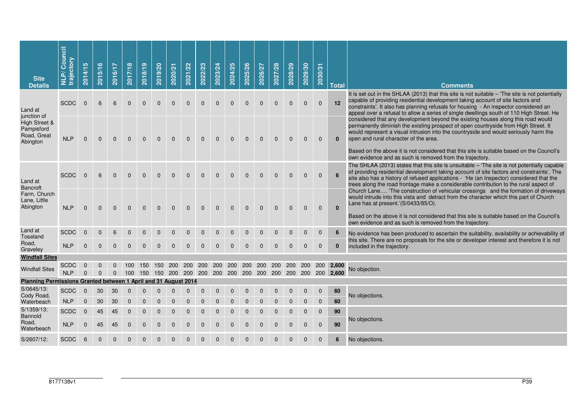| <b>Site</b><br><b>Details</b>                                   | Council<br>trajectory<br>$\tilde{\mathbf{a}}$<br>Ę | <b>SC</b><br>2014/1  | $\bullet$<br>2015/1 | 2016/17                      | 2017/18      | 2018/19      | 2019/20      | 2020/21      | 2021/22      | 2022/23      | 2023/24      | 2024/25      | 2025/26      | 2026/27      | 2027/28      | 2028/29      | 2029/30      | 2030/31      | <b>Total</b> | <b>Comments</b>                                                                                                                                                                                                                                                                                                                                                                                                                                                   |
|-----------------------------------------------------------------|----------------------------------------------------|----------------------|---------------------|------------------------------|--------------|--------------|--------------|--------------|--------------|--------------|--------------|--------------|--------------|--------------|--------------|--------------|--------------|--------------|--------------|-------------------------------------------------------------------------------------------------------------------------------------------------------------------------------------------------------------------------------------------------------------------------------------------------------------------------------------------------------------------------------------------------------------------------------------------------------------------|
| Land at<br>junction of                                          | <b>SCDC</b>                                        | $\Omega$             | 6                   | 6                            | $\mathbf{0}$ | $\Omega$     | $\Omega$     | $\Omega$     | $\mathbf{0}$ | $\mathbf{0}$ | $\mathbf{0}$ | $\mathbf{0}$ | $\mathbf{0}$ | $\mathbf{0}$ | $\mathbf{0}$ | $\mathbf{0}$ | $\mathbf{0}$ | $\mathbf{0}$ | 12           | It is set out in the SHLAA (2013) that this site is not suitable – 'The site is not potentially<br>capable of providing residential development taking account of site factors and<br>constraints'. It also has planning refusals for housing - An inspector considered an<br>appeal over a refusal to allow a series of single dwellings south of 110 High Street. He                                                                                            |
| High Street &<br>Pampisford<br>Road, Great<br>Abington          | <b>NLP</b>                                         | $\mathbf{0}$         | $\mathbf{0}$        | $\mathbf{0}$                 | $\mathbf{0}$ | $\mathbf{0}$ | $\mathbf{0}$ | $\mathbf{0}$ | $\mathbf{0}$ | $\mathbf{0}$ | $\mathbf 0$  | $\mathbf{0}$ | $\mathbf 0$  | $\mathbf 0$  | $\mathbf{0}$ | $\mathbf{0}$ | $\mathbf{0}$ | $\mathbf{0}$ | $\bf{0}$     | considered that any development beyond the existing houses along this road would<br>permanently diminish the existing prospect of open countryside from High Street. It<br>would represent a visual intrusion into the countryside and would seriously harm the<br>open and rural character of the area.<br>Based on the above it is not considered that this site is suitable based on the Council's<br>own evidence and as such is removed from the trajectory. |
| Land at<br><b>Bancroft</b>                                      | <b>SCDC</b>                                        | $\mathbf{0}$         | 6                   | $\mathbf{0}$                 | $\mathbf{0}$ | $\mathbf{0}$ | $\mathbf{0}$ | $\Omega$     | $\mathbf{0}$ | $\mathbf{0}$ | $\mathbf{0}$ | $\mathbf{0}$ | $\mathbf{0}$ | $\mathbf{0}$ | $\mathbf{0}$ | $\mathbf{0}$ | $\mathbf 0$  | $\mathbf 0$  | 6            | The SHLAA (2013) states that this site is unsuitable $-$ The site is not potentially capable<br>of providing residential development taking account of site factors and constraints'. The<br>site also has a history of refused applications - 'He (an Inspector) considered that the<br>trees along the road frontage make a considerable contribution to the rural aspect of                                                                                    |
| Farm, Church<br>Lane, Little<br>Abington                        | <b>NLP</b>                                         | $\mathbf{0}$         | $\Omega$            | $\Omega$                     | $\Omega$     | $\Omega$     | $\mathbf{0}$ | $\Omega$     | $\Omega$     | $\mathbf{0}$ | $\Omega$     | $\Omega$     | $\mathbf{0}$ | $\mathbf{0}$ | $\mathbf{0}$ | $\mathbf{0}$ | $\mathbf{0}$ | $\mathbf{0}$ | $\mathbf{0}$ | Church Lane 'The construction of vehicular crossings and the formation of driveways<br>would intrude into this vista and detract from the character which this part of Church<br>Lane has at present.'(S/0433/85/O).<br>Based on the above it is not considered that this site is suitable based on the Council's<br>own evidence and as such is removed from the trajectory.                                                                                     |
| Land at<br>Toseland                                             | <b>SCDC</b>                                        | $\mathbf{0}$         | $\Omega$            | 6                            | 0            | 0            | 0            |              |              |              | $\Omega$     | 0            | $\mathbf{0}$ | 0            | 0            | 0            | $\mathbf 0$  | $\mathbf 0$  | 6            | No evidence has been produced to ascertain the suitability, availability or achievability of                                                                                                                                                                                                                                                                                                                                                                      |
| Road,<br>Graveley                                               | <b>NLP</b>                                         | $\mathbf{0}$         | $\mathbf{0}$        | $\mathbf{0}$                 | $\mathbf{0}$ | $\mathbf{0}$ | $\mathbf{0}$ | $\mathbf{0}$ | $\mathbf{0}$ | $\mathbf{0}$ | $\mathbf{0}$ | $\mathbf{0}$ | $\mathbf{0}$ | $\mathbf{0}$ | $\mathbf{0}$ | $\mathbf{0}$ | $\mathbf{0}$ | $\mathbf{0}$ | $\mathbf{0}$ | this site. There are no proposals for the site or developer interest and therefore it is not<br>included in the trajectory.                                                                                                                                                                                                                                                                                                                                       |
| <b>Windfall Sites</b>                                           |                                                    |                      |                     |                              |              |              |              |              |              |              |              |              |              |              |              |              |              |              |              |                                                                                                                                                                                                                                                                                                                                                                                                                                                                   |
| <b>Windfall Sites</b>                                           | <b>SCDC</b><br><b>NLP</b>                          | $\Omega$<br>$\Omega$ | 0<br>$\Omega$       | $\mathbf{0}$<br>$\mathbf{0}$ |              |              |              |              |              |              |              |              |              |              |              |              |              |              |              | No objection.                                                                                                                                                                                                                                                                                                                                                                                                                                                     |
| Planning Permissions Granted between 1 April and 31 August 2014 |                                                    |                      |                     |                              |              |              |              |              |              |              |              |              |              |              |              |              |              |              |              |                                                                                                                                                                                                                                                                                                                                                                                                                                                                   |
| S/0645/13:<br>Cody Road,                                        | <b>SCDC</b>                                        | $\mathbf{0}$         | 30                  | 30                           | $\mathbf{0}$ | $\mathbf{0}$ | $\mathbf{0}$ | $\mathbf{0}$ | $\mathbf{0}$ | $\mathbf{0}$ | $\mathbf{0}$ | $\mathbf{0}$ | $\mathbf{0}$ | $\mathbf{0}$ | $\mathbf 0$  | $\mathbf{0}$ | $\mathbf 0$  | $\mathbf 0$  | 60           | No objections.                                                                                                                                                                                                                                                                                                                                                                                                                                                    |
| Waterbeach                                                      | <b>NLP</b>                                         | $\mathbf 0$          | 30                  | 30                           | $\mathbf 0$  | $\Omega$     | $\Omega$     |              |              |              |              |              |              |              |              |              | $\mathbf{0}$ | $\mathbf 0$  | 60           |                                                                                                                                                                                                                                                                                                                                                                                                                                                                   |
| S/1359/13:                                                      | <b>SCDC</b>                                        | $\mathbf 0$          | 45                  | 45                           | $\mathbf 0$  | $\mathbf 0$  | $\mathbf 0$  | $\mathbf 0$  | $\mathbf 0$  | $\mathbf 0$  | $\mathbf 0$  | $\mathbf 0$  | $\mathbf 0$  | $\mathbf 0$  | $\mathbf 0$  | $\mathbf 0$  | 0            | $\mathbf 0$  | 90           |                                                                                                                                                                                                                                                                                                                                                                                                                                                                   |
| <b>Bannold</b><br>Road,<br>Waterbeach                           | <b>NLP</b>                                         | $\mathbf{0}$         | 45                  | 45                           | $\mathbf{0}$ | $\mathbf{0}$ | $\mathbf{0}$ | $\mathbf{0}$ | $\Omega$     | $\Omega$     | $\Omega$     | $\mathbf{0}$ | $\mathbf{0}$ | $\Omega$     | $\Omega$     | $\mathbf{0}$ | $\mathbf{0}$ | $\mathbf{0}$ | 90           | No objections.                                                                                                                                                                                                                                                                                                                                                                                                                                                    |
| S/2607/12:                                                      | <b>SCDC</b>                                        | 6                    | 0                   | 0                            | 0            | 0            | 0            | 0            | 0            | 0            | 0            | 0            | 0            | $\mathbf 0$  | 0            | 0            | $\mathbf 0$  | $\mathbf 0$  | 6            | No objections.                                                                                                                                                                                                                                                                                                                                                                                                                                                    |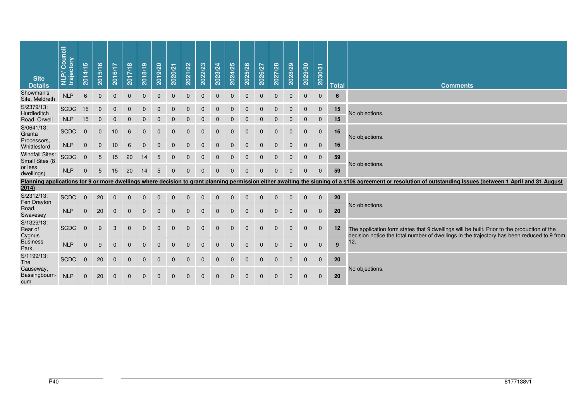| <b>Site</b><br><b>Details</b>             | Council<br>trajectory<br><b>NLP/</b> | 2014/15      | 2015/16                    | 2016/17          | 2017/18           | 2018/19      | 2019/20      | 2020/21      | 2021/22              | 2022/23                  | 2023/24      | 2024/25        | 2025/26      | 2026/27        | 2027/28      | 2028/29      | 2029/30                 | 2030/31                 | <b>Total</b> | <b>Comments</b>                                                                                                                                                                                              |
|-------------------------------------------|--------------------------------------|--------------|----------------------------|------------------|-------------------|--------------|--------------|--------------|----------------------|--------------------------|--------------|----------------|--------------|----------------|--------------|--------------|-------------------------|-------------------------|--------------|--------------------------------------------------------------------------------------------------------------------------------------------------------------------------------------------------------------|
| Showman's<br>Site, Meldreth               | NLP                                  | 6            | $\mathbf 0$                | $\mathbf 0$      | $\mathbf 0$       | $\mathbf 0$  | $\mathbf 0$  | $\mathbf 0$  | $\mathbf 0$          | $\mathbf 0$              | $\mathbf 0$  | $\overline{0}$ | $\mathbf 0$  | $\overline{0}$ | $\mathbf 0$  | $\mathbf{0}$ | $\mathbf{0}$            | $\Omega$                | 6            |                                                                                                                                                                                                              |
| S/2379/13:<br>Hurdleditch<br>Road, Orwell | <b>SCDC</b><br><b>NLP</b>            | 15<br>15     | $\mathbf 0$<br>$\mathbf 0$ | 0<br>$\mathbf 0$ | 0<br>$\mathbf{0}$ | $\Omega$     | $\Omega$     | $\Omega$     | $\Omega$<br>$\Omega$ | $\Omega$<br>$\mathbf{0}$ | $\Omega$     | $\Omega$       | $\Omega$     | $\Omega$       | $\Omega$     | $\Omega$     | $\mathbf 0$<br>$\Omega$ | $\mathbf 0$<br>$\Omega$ | 15<br>15     | No objections.                                                                                                                                                                                               |
| S/0641/13:<br>Granta                      | <b>SCDC</b>                          | $\mathbf{0}$ | $\mathbf{0}$               | 10               | 6                 | $\mathbf 0$  | $\mathbf 0$  | $\mathbf 0$  | $\mathbf 0$          | $\mathbf 0$              | $\mathbf{0}$ | $\mathbf{0}$   | $\mathbf 0$  | $\mathbf 0$    | $\mathbf{0}$ | $\mathbf{0}$ | $\mathbf 0$             | $\mathbf 0$             | 16           | No objections.                                                                                                                                                                                               |
| Processors.<br>Whittlesford               | <b>NLP</b>                           | $\mathbf 0$  | $\mathbf 0$                | 10               | 6                 | $\mathbf 0$  | $\mathbf 0$  | $\mathbf 0$  | $\mathbf{0}$         | $\mathbf{0}$             | $\Omega$     | $\Omega$       | $\Omega$     | $\Omega$       | $\Omega$     | $\Omega$     | $\mathbf 0$             | $\pmb{0}$               | 16           |                                                                                                                                                                                                              |
| <b>Windfall Sites:</b><br>Small Sites (8  | <b>SCDC</b>                          | $\mathbf{0}$ | 5                          | 15               | 20                | 14           | 5            | $\mathbf{0}$ | $\Omega$             | $\mathbf{0}$             | $\Omega$     | $\Omega$       | $\Omega$     | $\Omega$       | $\Omega$     | $\mathbf{0}$ | $\mathbf{0}$            | $\mathbf 0$             | 59           | No objections.                                                                                                                                                                                               |
| or less<br>dwellings)                     | <b>NLP</b>                           | $\mathbf{0}$ | 5                          | 15               | 20                | 14           | 5            | $\mathbf{0}$ | $\mathbf{0}$         | $\mathbf{0}$             | $\mathbf 0$  | $\mathbf 0$    | $\Omega$     | $\Omega$       | $\Omega$     | $\Omega$     | $\mathbf{0}$            | $\mathbf{0}$            | 59           |                                                                                                                                                                                                              |
|                                           |                                      |              |                            |                  |                   |              |              |              |                      |                          |              |                |              |                |              |              |                         |                         |              | Planning applications for 9 or more dwellings where decision to grant planning permission either awaiting the signing of a s106 agreement or resolution of outstanding issues (between 1 April and 31 August |
| 2014)                                     |                                      |              |                            |                  |                   |              |              |              |                      |                          |              |                |              |                |              |              |                         |                         |              |                                                                                                                                                                                                              |
| S/2312/13:<br>Fen Drayton                 | <b>SCDC</b>                          | $\mathbf 0$  | 20                         | $\mathbf 0$      | $\mathbf 0$       | $\mathbf 0$  | $\mathbf 0$  | $\mathbf 0$  | $\mathbf 0$          | $\mathbf{0}$             | $\Omega$     | $\Omega$       | $\Omega$     | $\Omega$       | $\mathbf 0$  | $\mathbf 0$  | $\mathbf 0$             | $\mathbf 0$             | 20           | No objections.                                                                                                                                                                                               |
| Road,<br>Swavesey                         | <b>NLP</b>                           | $\mathbf 0$  | 20                         | $\mathbf 0$      | $\mathbf 0$       | $\mathbf{0}$ | $\mathbf{0}$ | $\mathbf{0}$ | $\mathbf{0}$         | $\mathbf{0}$             | $\Omega$     | $\Omega$       | $\Omega$     | $\Omega$       | $\mathbf{0}$ | $\mathbf{0}$ | $\mathbf{0}$            | $\mathbf 0$             | 20           |                                                                                                                                                                                                              |
| S/1329/13:<br>Rear of<br>Cygnus           | <b>SCDC</b>                          | $\mathbf{0}$ | 9                          | 3                | $\mathbf 0$       | $\mathbf{0}$ | $\mathbf 0$  | $\mathbf 0$  | $\mathbf{0}$         | $\mathbf{0}$             | $\mathbf{0}$ | $\mathbf 0$    | $\mathbf 0$  | $\mathbf 0$    | $\mathbf{0}$ | $\mathbf{0}$ | $\mathbf{0}$            | $\mathbf 0$             | 12           | The application form states that 9 dwellings will be built. Prior to the production of the<br>decision notice the total number of dwellings in the trajectory has been reduced to 9 from                     |
| <b>Business</b><br>Park,                  | <b>NLP</b>                           | $\mathbf 0$  | 9                          | $\mathbf{0}$     | $\mathbf{0}$      | $\mathbf{0}$ | $\mathbf{0}$ | $\mathbf{0}$ | $\mathbf{0}$         | $\mathbf{0}$             | $\mathbf{0}$ | $\mathbf{0}$   | $\mathbf{0}$ | $\mathbf{0}$   | $\mathbf{0}$ | $\mathbf{0}$ | $\mathbf{0}$            | $\mathbf{0}$            | 9            | 12.                                                                                                                                                                                                          |
| S/1199/13:<br>The                         | <b>SCDC</b>                          | $\mathbf{0}$ | 20                         | $\mathbf 0$      | $\mathbf 0$       | $\mathbf{0}$ | $\mathbf{0}$ | $\Omega$     | $\Omega$             | $\Omega$                 | $\Omega$     | $\mathbf 0$    | $\Omega$     | $\Omega$       | $\Omega$     | $\mathbf{0}$ | $\mathbf{0}$            | $\mathbf 0$             | 20           |                                                                                                                                                                                                              |
| Causeway,<br>Bassingbourn-<br>cum         | <b>NLP</b>                           | $\mathbf{0}$ | 20                         | $\mathbf{0}$     | $\mathbf{0}$      | $\mathbf{0}$ | $\mathbf{0}$ | $\mathbf{0}$ | $\mathbf{0}$         | $\mathbf{0}$             | $\mathbf{0}$ | $\mathbf{0}$   | $\mathbf{0}$ | $\mathbf{0}$   | $\mathbf{0}$ | $\mathbf{0}$ | $\mathbf{0}$            | $\mathbf 0$             | 20           | No objections.                                                                                                                                                                                               |